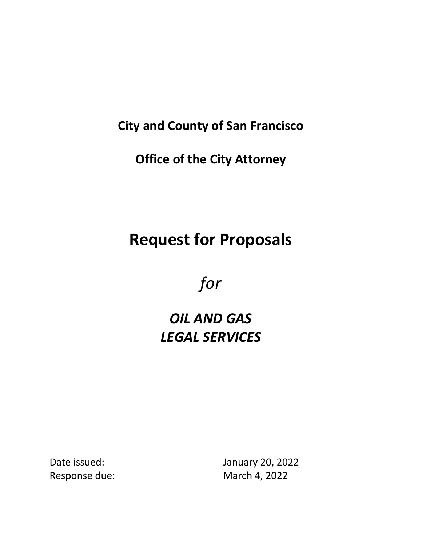# **City and County of San Francisco**

**Office of the City Attorney** 

# **Request for Proposals**

*for*

# *OIL AND GAS LEGAL SERVICES*

Date issued: January 20, 2022 Response due: March 4, 2022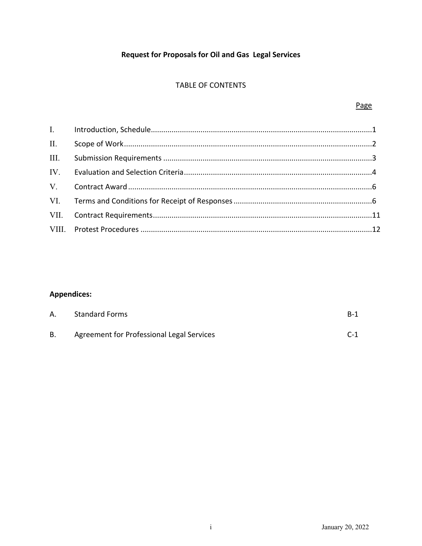# **Request for Proposals for Oil and Gas Legal Services**

# TABLE OF CONTENTS

| II.  |  |
|------|--|
| III. |  |
| IV.  |  |
|      |  |
|      |  |
|      |  |
|      |  |

# **Appendices:**

| А. | <b>Standard Forms</b>                     | B-1   |
|----|-------------------------------------------|-------|
| В. | Agreement for Professional Legal Services | $C-1$ |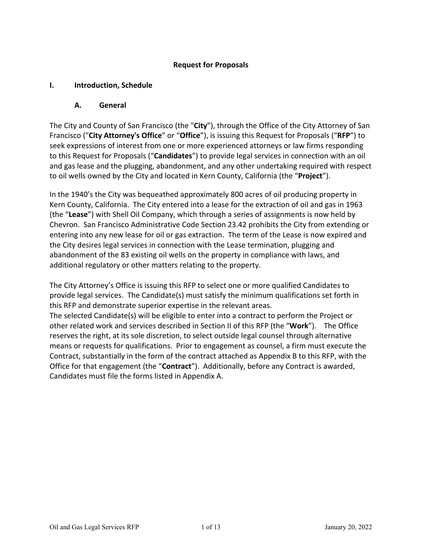# **Request for Proposals**

# **I. Introduction, Schedule**

# **A. General**

The City and County of San Francisco (the "**City**"), through the Office of the City Attorney of San Francisco ("**City Attorney's Office**" or "**Office**"), is issuing this Request for Proposals ("**RFP**") to seek expressions of interest from one or more experienced attorneys or law firms responding to this Request for Proposals ("**Candidates**") to provide legal services in connection with an oil and gas lease and the plugging, abandonment, and any other undertaking required with respect to oil wells owned by the City and located in Kern County, California (the "**Project**").

In the 1940's the City was bequeathed approximately 800 acres of oil producing property in Kern County, California. The City entered into a lease for the extraction of oil and gas in 1963 (the "**Lease**") with Shell Oil Company, which through a series of assignments is now held by Chevron. San Francisco Administrative Code Section 23.42 prohibits the City from extending or entering into any new lease for oil or gas extraction. The term of the Lease is now expired and the City desires legal services in connection with the Lease termination, plugging and abandonment of the 83 existing oil wells on the property in compliance with laws, and additional regulatory or other matters relating to the property.

The City Attorney's Office is issuing this RFP to select one or more qualified Candidates to provide legal services. The Candidate(s) must satisfy the minimum qualifications set forth in this RFP and demonstrate superior expertise in the relevant areas.

The selected Candidate(s) will be eligible to enter into a contract to perform the Project or other related work and services described in Section II of this RFP (the "**Work**"). The Office reserves the right, at its sole discretion, to select outside legal counsel through alternative means or requests for qualifications. Prior to engagement as counsel, a firm must execute the Contract, substantially in the form of the contract attached as Appendix B to this RFP, with the Office for that engagement (the "**Contract**"). Additionally, before any Contract is awarded, Candidates must file the forms listed in Appendix A.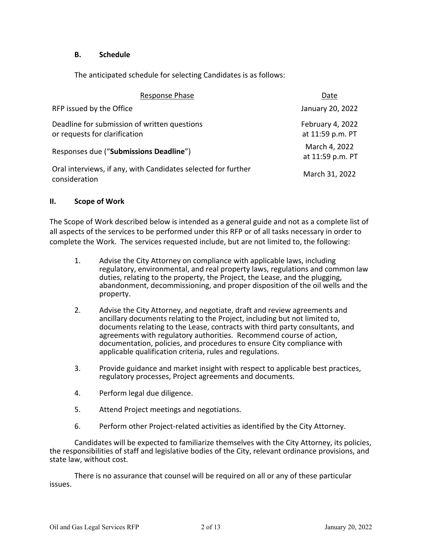#### **B. Schedule**

The anticipated schedule for selecting Candidates is as follows:

| Response Phase                                                                 | Date                                 |
|--------------------------------------------------------------------------------|--------------------------------------|
| RFP issued by the Office                                                       | January 20, 2022                     |
| Deadline for submission of written questions<br>or requests for clarification  | February 4, 2022<br>at 11:59 p.m. PT |
| Responses due ("Submissions Deadline")                                         | March 4, 2022<br>at 11:59 p.m. PT    |
| Oral interviews, if any, with Candidates selected for further<br>consideration | March 31, 2022                       |

#### **II. Scope of Work**

The Scope of Work described below is intended as a general guide and not as a complete list of all aspects of the services to be performed under this RFP or of all tasks necessary in order to complete the Work. The services requested include, but are not limited to, the following:

- 1. Advise the City Attorney on compliance with applicable laws, including regulatory, environmental, and real property laws, regulations and common law duties, relating to the property, the Project, the Lease, and the plugging, abandonment, decommissioning, and proper disposition of the oil wells and the property.
- 2. Advise the City Attorney, and negotiate, draft and review agreements and ancillary documents relating to the Project, including but not limited to, documents relating to the Lease, contracts with third party consultants, and agreements with regulatory authorities. Recommend course of action, documentation, policies, and procedures to ensure City compliance with applicable qualification criteria, rules and regulations.
- 3. Provide guidance and market insight with respect to applicable best practices, regulatory processes, Project agreements and documents.
- 4. Perform legal due diligence.
- 5. Attend Project meetings and negotiations.
- 6. Perform other Project-related activities as identified by the City Attorney.

Candidates will be expected to familiarize themselves with the City Attorney, its policies, the responsibilities of staff and legislative bodies of the City, relevant ordinance provisions, and state law, without cost.

There is no assurance that counsel will be required on all or any of these particular issues.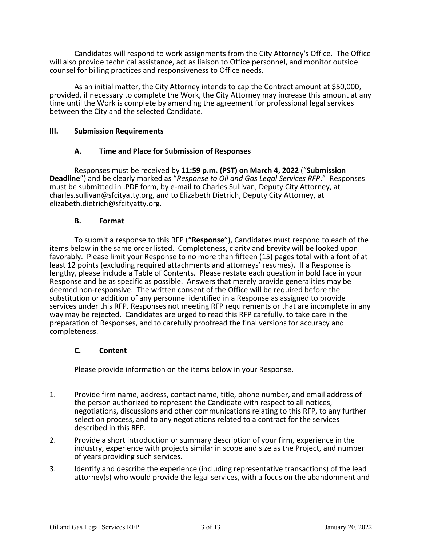Candidates will respond to work assignments from the City Attorney's Office. The Office will also provide technical assistance, act as liaison to Office personnel, and monitor outside counsel for billing practices and responsiveness to Office needs.

As an initial matter, the City Attorney intends to cap the Contract amount at \$50,000, provided, if necessary to complete the Work, the City Attorney may increase this amount at any time until the Work is complete by amending the agreement for professional legal services between the City and the selected Candidate.

#### **III. Submission Requirements**

#### **A. Time and Place for Submission of Responses**

Responses must be received by **11:59 p.m. (PST) on March 4, 2022** ("**Submission Deadline**") and be clearly marked as "*Response to Oil and Gas Legal Services RFP*." Responses must be submitted in .PDF form, by e-mail to Charles Sullivan, Deputy City Attorney, at charles.sullivan@sfcityatty.org, and to Elizabeth Dietrich, Deputy City Attorney, at elizabeth.dietrich@sfcityatty.org.

#### **B. Format**

To submit a response to this RFP ("**Response**"), Candidates must respond to each of the items below in the same order listed. Completeness, clarity and brevity will be looked upon favorably. Please limit your Response to no more than fifteen (15) pages total with a font of at least 12 points (excluding required attachments and attorneys' resumes). If a Response is lengthy, please include a Table of Contents. Please restate each question in bold face in your Response and be as specific as possible. Answers that merely provide generalities may be deemed non-responsive. The written consent of the Office will be required before the substitution or addition of any personnel identified in a Response as assigned to provide services under this RFP. Responses not meeting RFP requirements or that are incomplete in any way may be rejected. Candidates are urged to read this RFP carefully, to take care in the preparation of Responses, and to carefully proofread the final versions for accuracy and completeness.

#### **C. Content**

Please provide information on the items below in your Response.

- 1. Provide firm name, address, contact name, title, phone number, and email address of the person authorized to represent the Candidate with respect to all notices, negotiations, discussions and other communications relating to this RFP, to any further selection process, and to any negotiations related to a contract for the services described in this RFP.
- 2. Provide a short introduction or summary description of your firm, experience in the industry, experience with projects similar in scope and size as the Project, and number of years providing such services.
- 3. Identify and describe the experience (including representative transactions) of the lead attorney(s) who would provide the legal services, with a focus on the abandonment and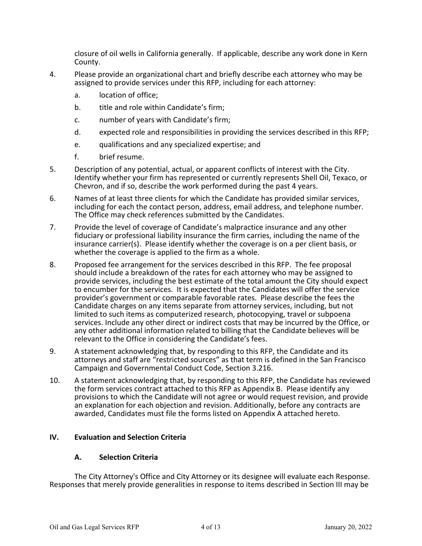closure of oil wells in California generally. If applicable, describe any work done in Kern County.

- 4. Please provide an organizational chart and briefly describe each attorney who may be assigned to provide services under this RFP, including for each attorney:
	- a. location of office;
	- b. title and role within Candidate's firm:
	- c. number of years with Candidate's firm;
	- d. expected role and responsibilities in providing the services described in this RFP;
	- e. qualifications and any specialized expertise; and
	- f. brief resume.
- 5. Description of any potential, actual, or apparent conflicts of interest with the City. Identify whether your firm has represented or currently represents Shell Oil, Texaco, or Chevron, and if so, describe the work performed during the past 4 years.
- 6. Names of at least three clients for which the Candidate has provided similar services, including for each the contact person, address, email address, and telephone number. The Office may check references submitted by the Candidates.
- 7. Provide the level of coverage of Candidate's malpractice insurance and any other fiduciary or professional liability insurance the firm carries, including the name of the insurance carrier(s). Please identify whether the coverage is on a per client basis, or whether the coverage is applied to the firm as a whole.
- 8. Proposed fee arrangement for the services described in this RFP. The fee proposal should include a breakdown of the rates for each attorney who may be assigned to provide services, including the best estimate of the total amount the City should expect to encumber for the services. It is expected that the Candidates will offer the service provider's government or comparable favorable rates. Please describe the fees the Candidate charges on any items separate from attorney services, including, but not limited to such items as computerized research, photocopying, travel or subpoena services. Include any other direct or indirect costs that may be incurred by the Office, or any other additional information related to billing that the Candidate believes will be relevant to the Office in considering the Candidate's fees.
- 9. A statement acknowledging that, by responding to this RFP, the Candidate and its attorneys and staff are "restricted sources" as that term is defined in the San Francisco Campaign and Governmental Conduct Code, Section 3.216.
- 10. A statement acknowledging that, by responding to this RFP, the Candidate has reviewed the form services contract attached to this RFP as Appendix B. Please identify any provisions to which the Candidate will not agree or would request revision, and provide an explanation for each objection and revision. Additionally, before any contracts are awarded, Candidates must file the forms listed on Appendix A attached hereto.

# **IV. Evaluation and Selection Criteria**

#### **A. Selection Criteria**

The City Attorney's Office and City Attorney or its designee will evaluate each Response. Responses that merely provide generalities in response to items described in Section III may be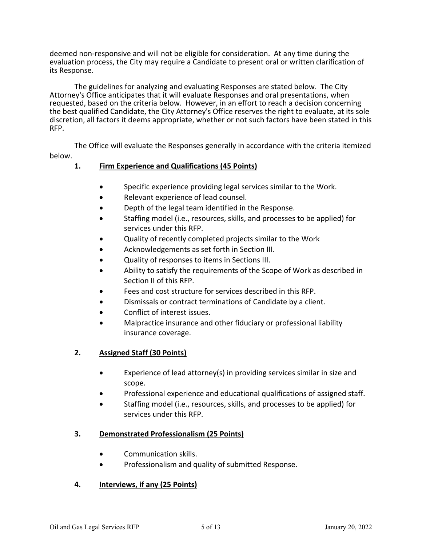deemed non-responsive and will not be eligible for consideration. At any time during the evaluation process, the City may require a Candidate to present oral or written clarification of its Response.

The guidelines for analyzing and evaluating Responses are stated below. The City Attorney's Office anticipates that it will evaluate Responses and oral presentations, when requested, based on the criteria below. However, in an effort to reach a decision concerning the best qualified Candidate, the City Attorney's Office reserves the right to evaluate, at its sole discretion, all factors it deems appropriate, whether or not such factors have been stated in this RFP.

The Office will evaluate the Responses generally in accordance with the criteria itemized below.

# **1. Firm Experience and Qualifications (45 Points)**

- Specific experience providing legal services similar to the Work.
- Relevant experience of lead counsel.
- Depth of the legal team identified in the Response.
- Staffing model (i.e., resources, skills, and processes to be applied) for services under this RFP.
- Quality of recently completed projects similar to the Work
- Acknowledgements as set forth in Section III.
- Quality of responses to items in Sections III.
- Ability to satisfy the requirements of the Scope of Work as described in Section II of this RFP.
- Fees and cost structure for services described in this RFP.
- Dismissals or contract terminations of Candidate by a client.
- Conflict of interest issues.
- Malpractice insurance and other fiduciary or professional liability insurance coverage.

# **2. Assigned Staff (30 Points)**

- Experience of lead attorney(s) in providing services similar in size and scope.
- Professional experience and educational qualifications of assigned staff.
- Staffing model (i.e., resources, skills, and processes to be applied) for services under this RFP.

# **3. Demonstrated Professionalism (25 Points)**

- Communication skills.
- Professionalism and quality of submitted Response.

# **4. Interviews, if any (25 Points)**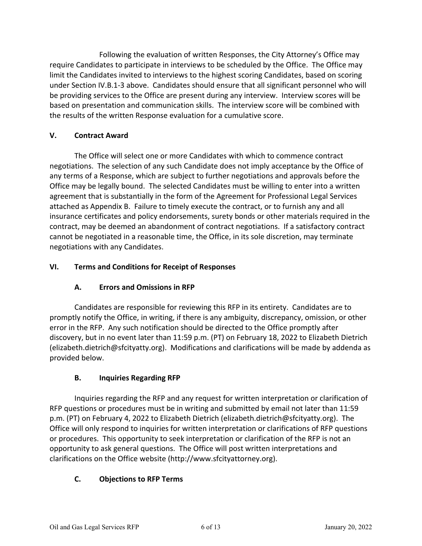Following the evaluation of written Responses, the City Attorney's Office may require Candidates to participate in interviews to be scheduled by the Office. The Office may limit the Candidates invited to interviews to the highest scoring Candidates, based on scoring under Section IV.B.1-3 above. Candidates should ensure that all significant personnel who will be providing services to the Office are present during any interview. Interview scores will be based on presentation and communication skills. The interview score will be combined with the results of the written Response evaluation for a cumulative score.

# **V. Contract Award**

The Office will select one or more Candidates with which to commence contract negotiations. The selection of any such Candidate does not imply acceptance by the Office of any terms of a Response, which are subject to further negotiations and approvals before the Office may be legally bound. The selected Candidates must be willing to enter into a written agreement that is substantially in the form of the Agreement for Professional Legal Services attached as Appendix B. Failure to timely execute the contract, or to furnish any and all insurance certificates and policy endorsements, surety bonds or other materials required in the contract, may be deemed an abandonment of contract negotiations. If a satisfactory contract cannot be negotiated in a reasonable time, the Office, in its sole discretion, may terminate negotiations with any Candidates.

# **VI. Terms and Conditions for Receipt of Responses**

# **A. Errors and Omissions in RFP**

Candidates are responsible for reviewing this RFP in its entirety. Candidates are to promptly notify the Office, in writing, if there is any ambiguity, discrepancy, omission, or other error in the RFP. Any such notification should be directed to the Office promptly after discovery, but in no event later than 11:59 p.m. (PT) on February 18, 2022 to Elizabeth Dietrich (elizabeth.dietrich@sfcityatty.org). Modifications and clarifications will be made by addenda as provided below.

# **B. Inquiries Regarding RFP**

Inquiries regarding the RFP and any request for written interpretation or clarification of RFP questions or procedures must be in writing and submitted by email not later than 11:59 p.m. (PT) on February 4, 2022 to Elizabeth Dietrich (elizabeth.dietrich@sfcityatty.org). The Office will only respond to inquiries for written interpretation or clarifications of RFP questions or procedures. This opportunity to seek interpretation or clarification of the RFP is not an opportunity to ask general questions. The Office will post written interpretations and clarifications on the Office website (http://www.sfcityattorney.org).

# **C. Objections to RFP Terms**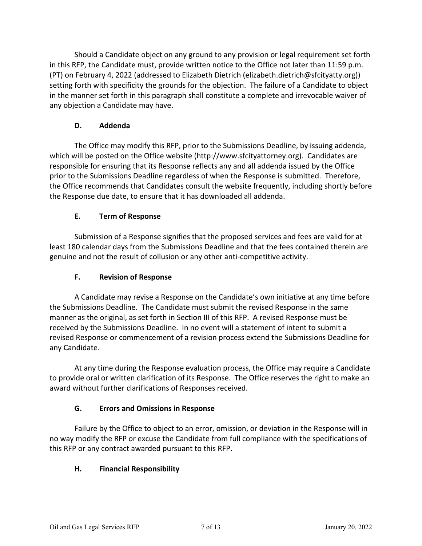Should a Candidate object on any ground to any provision or legal requirement set forth in this RFP, the Candidate must, provide written notice to the Office not later than 11:59 p.m. (PT) on February 4, 2022 (addressed to Elizabeth Dietrich (elizabeth.dietrich@sfcityatty.org)) setting forth with specificity the grounds for the objection. The failure of a Candidate to object in the manner set forth in this paragraph shall constitute a complete and irrevocable waiver of any objection a Candidate may have.

# **D. Addenda**

The Office may modify this RFP, prior to the Submissions Deadline, by issuing addenda, which will be posted on the Office website (http://www.sfcityattorney.org). Candidates are responsible for ensuring that its Response reflects any and all addenda issued by the Office prior to the Submissions Deadline regardless of when the Response is submitted. Therefore, the Office recommends that Candidates consult the website frequently, including shortly before the Response due date, to ensure that it has downloaded all addenda.

# **E. Term of Response**

Submission of a Response signifies that the proposed services and fees are valid for at least 180 calendar days from the Submissions Deadline and that the fees contained therein are genuine and not the result of collusion or any other anti-competitive activity.

# **F. Revision of Response**

A Candidate may revise a Response on the Candidate's own initiative at any time before the Submissions Deadline. The Candidate must submit the revised Response in the same manner as the original, as set forth in Section III of this RFP. A revised Response must be received by the Submissions Deadline. In no event will a statement of intent to submit a revised Response or commencement of a revision process extend the Submissions Deadline for any Candidate.

At any time during the Response evaluation process, the Office may require a Candidate to provide oral or written clarification of its Response. The Office reserves the right to make an award without further clarifications of Responses received.

# **G. Errors and Omissions in Response**

Failure by the Office to object to an error, omission, or deviation in the Response will in no way modify the RFP or excuse the Candidate from full compliance with the specifications of this RFP or any contract awarded pursuant to this RFP.

# **H. Financial Responsibility**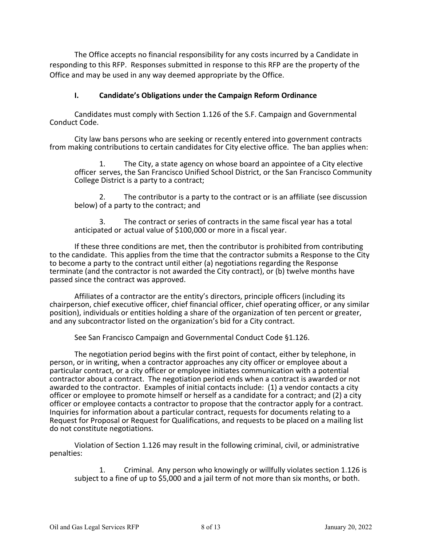The Office accepts no financial responsibility for any costs incurred by a Candidate in responding to this RFP. Responses submitted in response to this RFP are the property of the Office and may be used in any way deemed appropriate by the Office.

### **I. Candidate's Obligations under the Campaign Reform Ordinance**

Candidates must comply with Section 1.126 of the S.F. Campaign and Governmental Conduct Code.

City law bans persons who are seeking or recently entered into government contracts from making contributions to certain candidates for City elective office. The ban applies when:

1. The City, a state agency on whose board an appointee of a City elective officer serves, the San Francisco Unified School District, or the San Francisco Community College District is a party to a contract;

2. The contributor is a party to the contract or is an affiliate (see discussion below) of a party to the contract; and

3. The contract or series of contracts in the same fiscal year has a total anticipated or actual value of \$100,000 or more in a fiscal year.

If these three conditions are met, then the contributor is prohibited from contributing to the candidate. This applies from the time that the contractor submits a Response to the City to become a party to the contract until either (a) negotiations regarding the Response terminate (and the contractor is not awarded the City contract), or (b) twelve months have passed since the contract was approved.

Affiliates of a contractor are the entity's directors, principle officers (including its chairperson, chief executive officer, chief financial officer, chief operating officer, or any similar position), individuals or entities holding a share of the organization of ten percent or greater, and any subcontractor listed on the organization's bid for a City contract.

See San Francisco Campaign and Governmental Conduct Code §1.126.

The negotiation period begins with the first point of contact, either by telephone, in person, or in writing, when a contractor approaches any city officer or employee about a particular contract, or a city officer or employee initiates communication with a potential contractor about a contract. The negotiation period ends when a contract is awarded or not awarded to the contractor. Examples of initial contacts include: (1) a vendor contacts a city officer or employee to promote himself or herself as a candidate for a contract; and (2) a city officer or employee contacts a contractor to propose that the contractor apply for a contract. Inquiries for information about a particular contract, requests for documents relating to a Request for Proposal or Request for Qualifications, and requests to be placed on a mailing list do not constitute negotiations.

Violation of Section 1.126 may result in the following criminal, civil, or administrative penalties:

1. Criminal. Any person who knowingly or willfully violates section 1.126 is subject to a fine of up to \$5,000 and a jail term of not more than six months, or both.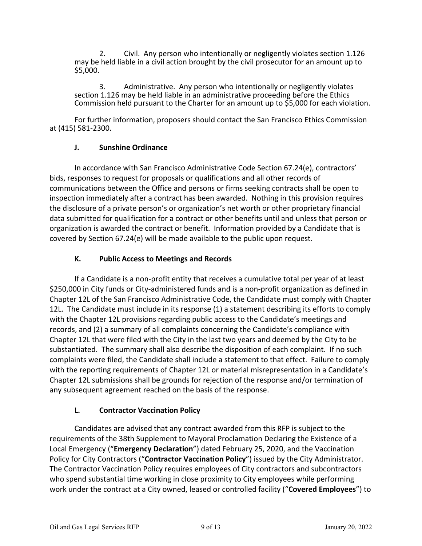2. Civil. Any person who intentionally or negligently violates section 1.126 may be held liable in a civil action brought by the civil prosecutor for an amount up to \$5,000.

3. Administrative. Any person who intentionally or negligently violates section 1.126 may be held liable in an administrative proceeding before the Ethics Commission held pursuant to the Charter for an amount up to \$5,000 for each violation.

For further information, proposers should contact the San Francisco Ethics Commission at (415) 581-2300.

# **J. Sunshine Ordinance**

In accordance with San Francisco Administrative Code Section 67.24(e), contractors' bids, responses to request for proposals or qualifications and all other records of communications between the Office and persons or firms seeking contracts shall be open to inspection immediately after a contract has been awarded. Nothing in this provision requires the disclosure of a private person's or organization's net worth or other proprietary financial data submitted for qualification for a contract or other benefits until and unless that person or organization is awarded the contract or benefit. Information provided by a Candidate that is covered by Section 67.24(e) will be made available to the public upon request.

# **K. Public Access to Meetings and Records**

If a Candidate is a non-profit entity that receives a cumulative total per year of at least \$250,000 in City funds or City-administered funds and is a non-profit organization as defined in Chapter 12L of the San Francisco Administrative Code, the Candidate must comply with Chapter 12L. The Candidate must include in its response (1) a statement describing its efforts to comply with the Chapter 12L provisions regarding public access to the Candidate's meetings and records, and (2) a summary of all complaints concerning the Candidate's compliance with Chapter 12L that were filed with the City in the last two years and deemed by the City to be substantiated. The summary shall also describe the disposition of each complaint. If no such complaints were filed, the Candidate shall include a statement to that effect. Failure to comply with the reporting requirements of Chapter 12L or material misrepresentation in a Candidate's Chapter 12L submissions shall be grounds for rejection of the response and/or termination of any subsequent agreement reached on the basis of the response.

# **L. Contractor Vaccination Policy**

Candidates are advised that any contract awarded from this RFP is subject to the requirements of the 38th Supplement to Mayoral Proclamation Declaring the Existence of a Local Emergency ("**Emergency Declaration**") dated February 25, 2020, and the Vaccination Policy for City Contractors ("**Contractor Vaccination Policy**") issued by the City Administrator. The Contractor Vaccination Policy requires employees of City contractors and subcontractors who spend substantial time working in close proximity to City employees while performing work under the contract at a City owned, leased or controlled facility ("**Covered Employees**") to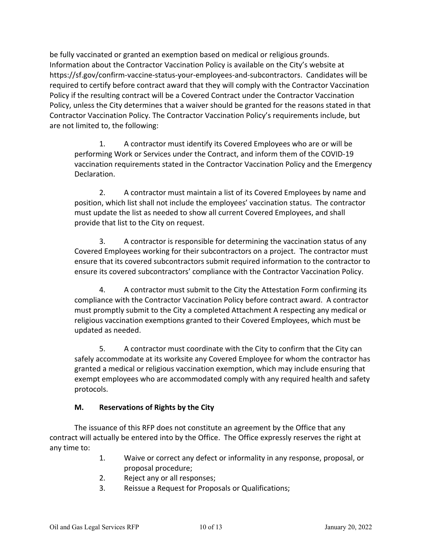be fully vaccinated or granted an exemption based on medical or religious grounds. Information about the Contractor Vaccination Policy is available on the City's website at https://sf.gov/confirm-vaccine-status-your-employees-and-subcontractors. Candidates will be required to certify before contract award that they will comply with the Contractor Vaccination Policy if the resulting contract will be a Covered Contract under the Contractor Vaccination Policy, unless the City determines that a waiver should be granted for the reasons stated in that Contractor Vaccination Policy. The Contractor Vaccination Policy's requirements include, but are not limited to, the following:

1. A contractor must identify its Covered Employees who are or will be performing Work or Services under the Contract, and inform them of the COVID-19 vaccination requirements stated in the Contractor Vaccination Policy and the Emergency Declaration.

2. A contractor must maintain a list of its Covered Employees by name and position, which list shall not include the employees' vaccination status. The contractor must update the list as needed to show all current Covered Employees, and shall provide that list to the City on request.

3. A contractor is responsible for determining the vaccination status of any Covered Employees working for their subcontractors on a project. The contractor must ensure that its covered subcontractors submit required information to the contractor to ensure its covered subcontractors' compliance with the Contractor Vaccination Policy.

4. A contractor must submit to the City the Attestation Form confirming its compliance with the Contractor Vaccination Policy before contract award. A contractor must promptly submit to the City a completed Attachment A respecting any medical or religious vaccination exemptions granted to their Covered Employees, which must be updated as needed.

5. A contractor must coordinate with the City to confirm that the City can safely accommodate at its worksite any Covered Employee for whom the contractor has granted a medical or religious vaccination exemption, which may include ensuring that exempt employees who are accommodated comply with any required health and safety protocols.

# **M. Reservations of Rights by the City**

The issuance of this RFP does not constitute an agreement by the Office that any contract will actually be entered into by the Office. The Office expressly reserves the right at any time to:

- 1. Waive or correct any defect or informality in any response, proposal, or proposal procedure;
- 2. Reject any or all responses;
- 3. Reissue a Request for Proposals or Qualifications;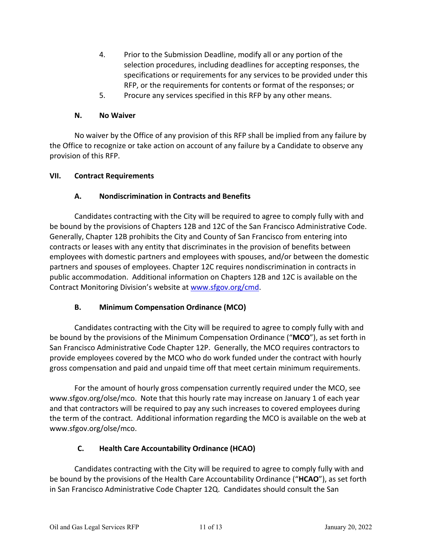- 4. Prior to the Submission Deadline, modify all or any portion of the selection procedures, including deadlines for accepting responses, the specifications or requirements for any services to be provided under this RFP, or the requirements for contents or format of the responses; or
- 5. Procure any services specified in this RFP by any other means.

### **N. No Waiver**

No waiver by the Office of any provision of this RFP shall be implied from any failure by the Office to recognize or take action on account of any failure by a Candidate to observe any provision of this RFP.

### **VII. Contract Requirements**

### **A. Nondiscrimination in Contracts and Benefits**

Candidates contracting with the City will be required to agree to comply fully with and be bound by the provisions of Chapters 12B and 12C of the San Francisco Administrative Code. Generally, Chapter 12B prohibits the City and County of San Francisco from entering into contracts or leases with any entity that discriminates in the provision of benefits between employees with domestic partners and employees with spouses, and/or between the domestic partners and spouses of employees. Chapter 12C requires nondiscrimination in contracts in public accommodation. Additional information on Chapters 12B and 12C is available on the Contract Monitoring Division's website a[t www.sfgov.org/cmd.](http://www.sfgov.org/cmd)

# **B. Minimum Compensation Ordinance (MCO)**

Candidates contracting with the City will be required to agree to comply fully with and be bound by the provisions of the Minimum Compensation Ordinance ("**MCO**"), as set forth in San Francisco Administrative Code Chapter 12P. Generally, the MCO requires contractors to provide employees covered by the MCO who do work funded under the contract with hourly gross compensation and paid and unpaid time off that meet certain minimum requirements.

For the amount of hourly gross compensation currently required under the MCO, see www.sfgov.org/olse/mco. Note that this hourly rate may increase on January 1 of each year and that contractors will be required to pay any such increases to covered employees during the term of the contract. Additional information regarding the MCO is available on the web at www.sfgov.org/olse/mco.

# **C. Health Care Accountability Ordinance (HCAO)**

Candidates contracting with the City will be required to agree to comply fully with and be bound by the provisions of the Health Care Accountability Ordinance ("**HCAO**"), as set forth in San Francisco Administrative Code Chapter 12Q. Candidates should consult the San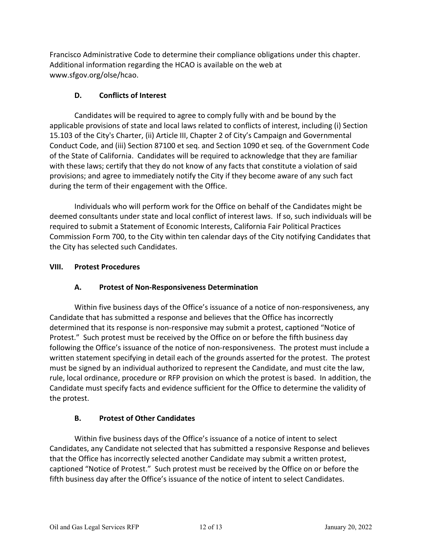Francisco Administrative Code to determine their compliance obligations under this chapter. Additional information regarding the HCAO is available on the web at www.sfgov.org/olse/hcao.

# **D. Conflicts of Interest**

Candidates will be required to agree to comply fully with and be bound by the applicable provisions of state and local laws related to conflicts of interest, including (i) Section 15.103 of the City's Charter, (ii) Article III, Chapter 2 of City's Campaign and Governmental Conduct Code, and (iii) Section 87100 et seq. and Section 1090 et seq. of the Government Code of the State of California. Candidates will be required to acknowledge that they are familiar with these laws; certify that they do not know of any facts that constitute a violation of said provisions; and agree to immediately notify the City if they become aware of any such fact during the term of their engagement with the Office.

Individuals who will perform work for the Office on behalf of the Candidates might be deemed consultants under state and local conflict of interest laws. If so, such individuals will be required to submit a Statement of Economic Interests, California Fair Political Practices Commission Form 700, to the City within ten calendar days of the City notifying Candidates that the City has selected such Candidates.

# **VIII. Protest Procedures**

# **A. Protest of Non-Responsiveness Determination**

Within five business days of the Office's issuance of a notice of non-responsiveness, any Candidate that has submitted a response and believes that the Office has incorrectly determined that its response is non-responsive may submit a protest, captioned "Notice of Protest." Such protest must be received by the Office on or before the fifth business day following the Office's issuance of the notice of non-responsiveness. The protest must include a written statement specifying in detail each of the grounds asserted for the protest. The protest must be signed by an individual authorized to represent the Candidate, and must cite the law, rule, local ordinance, procedure or RFP provision on which the protest is based. In addition, the Candidate must specify facts and evidence sufficient for the Office to determine the validity of the protest.

# **B. Protest of Other Candidates**

Within five business days of the Office's issuance of a notice of intent to select Candidates, any Candidate not selected that has submitted a responsive Response and believes that the Office has incorrectly selected another Candidate may submit a written protest, captioned "Notice of Protest." Such protest must be received by the Office on or before the fifth business day after the Office's issuance of the notice of intent to select Candidates.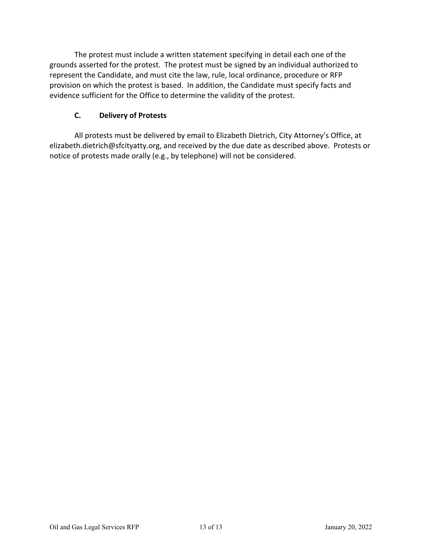The protest must include a written statement specifying in detail each one of the grounds asserted for the protest. The protest must be signed by an individual authorized to represent the Candidate, and must cite the law, rule, local ordinance, procedure or RFP provision on which the protest is based. In addition, the Candidate must specify facts and evidence sufficient for the Office to determine the validity of the protest.

# **C. Delivery of Protests**

All protests must be delivered by email to Elizabeth Dietrich, City Attorney's Office, at elizabeth.dietrich@sfcityatty.org, and received by the due date as described above. Protests or notice of protests made orally (e.g., by telephone) will not be considered.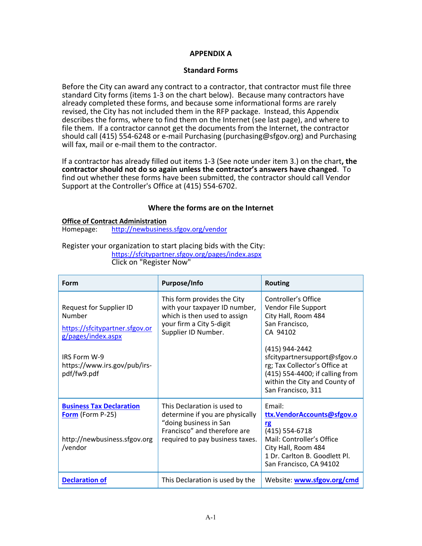#### **APPENDIX A**

#### **Standard Forms**

Before the City can award any contract to a contractor, that contractor must file three standard City forms (items 1-3 on the chart below). Because many contractors have already completed these forms, and because some informational forms are rarely revised, the City has not included them in the RFP package. Instead, this Appendix describes the forms, where to find them on the Internet (see last page), and where to file them. If a contractor cannot get the documents from the Internet, the contractor should call (415) 554-6248 or e-mail Purchasing (purchasing@sfgov.org) and Purchasing will fax, mail or e-mail them to the contractor.

If a contractor has already filled out items 1-3 (See note under item 3.) on the chart**, the contractor should not do so again unless the contractor's answers have changed**. To find out whether these forms have been submitted, the contractor should call Vendor Support at the Controller's Office at (415) 554-6702.

#### **Where the forms are on the Internet**

#### **Office of Contract Administration** Homepage: <http://newbusiness.sfgov.org/vendor>

#### Register your organization to start placing bids with the City: <https://sfcitypartner.sfgov.org/pages/index.aspx> Click on "Register Now"

| Form                                                                                                                                                            | Purpose/Info                                                                                                                                                | <b>Routing</b>                                                                                                                                                                                                                                                               |
|-----------------------------------------------------------------------------------------------------------------------------------------------------------------|-------------------------------------------------------------------------------------------------------------------------------------------------------------|------------------------------------------------------------------------------------------------------------------------------------------------------------------------------------------------------------------------------------------------------------------------------|
| Request for Supplier ID<br>Number<br>https://sfcitypartner.sfgov.or<br>g/pages/index.aspx<br><b>IRS Form W-9</b><br>https://www.irs.gov/pub/irs-<br>pdf/fw9.pdf | This form provides the City<br>with your taxpayer ID number,<br>which is then used to assign<br>your firm a City 5-digit<br>Supplier ID Number.             | Controller's Office<br>Vendor File Support<br>City Hall, Room 484<br>San Francisco,<br>CA 94102<br>(415) 944-2442<br>sfcitypartnersupport@sfgov.o<br>rg; Tax Collector's Office at<br>(415) 554-4400; if calling from<br>within the City and County of<br>San Francisco, 311 |
| <b>Business Tax Declaration</b><br><b>Form</b> (Form P-25)<br>http://newbusiness.sfgov.org<br>/vendor                                                           | This Declaration is used to<br>determine if you are physically<br>"doing business in San<br>Francisco" and therefore are<br>required to pay business taxes. | Email:<br>ttx.VendorAccounts@sfgov.o<br>rg<br>(415) 554-6718<br>Mail: Controller's Office<br>City Hall, Room 484<br>1 Dr. Carlton B. Goodlett Pl.<br>San Francisco, CA 94102                                                                                                 |
| <b>Declaration of</b>                                                                                                                                           | This Declaration is used by the                                                                                                                             | Website: www.sfgov.org/cmd                                                                                                                                                                                                                                                   |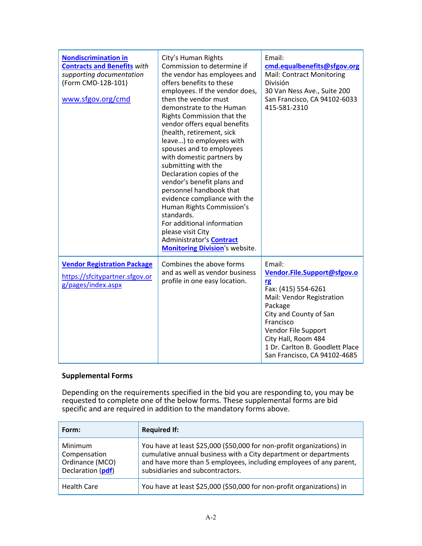| <b>Nondiscrimination in</b><br><b>Contracts and Benefits with</b><br>supporting documentation<br>(Form CMD-12B-101)<br>www.sfgov.org/cmd | City's Human Rights<br>Commission to determine if<br>the vendor has employees and<br>offers benefits to these<br>employees. If the vendor does,<br>then the vendor must<br>demonstrate to the Human<br>Rights Commission that the<br>vendor offers equal benefits<br>(health, retirement, sick<br>leave) to employees with<br>spouses and to employees<br>with domestic partners by<br>submitting with the<br>Declaration copies of the<br>vendor's benefit plans and<br>personnel handbook that<br>evidence compliance with the<br>Human Rights Commission's<br>standards.<br>For additional information<br>please visit City<br>Administrator's Contract<br><b>Monitoring Division's website.</b> | Email:<br>cmd.equalbenefits@sfgov.org<br>Mail: Contract Monitoring<br>División<br>30 Van Ness Ave., Suite 200<br>San Francisco, CA 94102-6033<br>415-581-2310                                                                                                             |
|------------------------------------------------------------------------------------------------------------------------------------------|-----------------------------------------------------------------------------------------------------------------------------------------------------------------------------------------------------------------------------------------------------------------------------------------------------------------------------------------------------------------------------------------------------------------------------------------------------------------------------------------------------------------------------------------------------------------------------------------------------------------------------------------------------------------------------------------------------|---------------------------------------------------------------------------------------------------------------------------------------------------------------------------------------------------------------------------------------------------------------------------|
| <b>Vendor Registration Package</b><br>https://sfcitypartner.sfgov.or<br>g/pages/index.aspx                                               | Combines the above forms<br>and as well as vendor business<br>profile in one easy location.                                                                                                                                                                                                                                                                                                                                                                                                                                                                                                                                                                                                         | Email:<br>Vendor.File.Support@sfgov.o<br><b>rg</b><br>Fax: (415) 554-6261<br>Mail: Vendor Registration<br>Package<br>City and County of San<br>Francisco<br>Vendor File Support<br>City Hall, Room 484<br>1 Dr. Carlton B. Goodlett Place<br>San Francisco, CA 94102-4685 |

# **Supplemental Forms**

Depending on the requirements specified in the bid you are responding to, you may be requested to complete one of the below forms. These supplemental forms are bid specific and are required in addition to the mandatory forms above.

| Form:                                                           | <b>Required If:</b>                                                                                                                                                                                                                                 |
|-----------------------------------------------------------------|-----------------------------------------------------------------------------------------------------------------------------------------------------------------------------------------------------------------------------------------------------|
| Minimum<br>Compensation<br>Ordinance (MCO)<br>Declaration (pdf) | You have at least \$25,000 (\$50,000 for non-profit organizations) in<br>cumulative annual business with a City department or departments<br>and have more than 5 employees, including employees of any parent,<br>subsidiaries and subcontractors. |
| <b>Health Care</b>                                              | You have at least \$25,000 (\$50,000 for non-profit organizations) in                                                                                                                                                                               |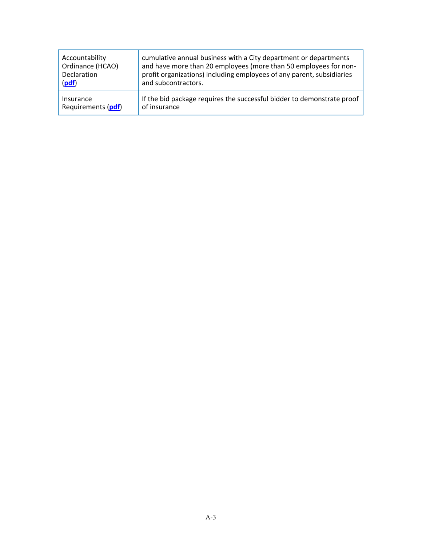| Accountability     | cumulative annual business with a City department or departments       |
|--------------------|------------------------------------------------------------------------|
| Ordinance (HCAO)   | and have more than 20 employees (more than 50 employees for non-       |
| Declaration        | profit organizations) including employees of any parent, subsidiaries  |
| (pdf)              | and subcontractors.                                                    |
| Insurance          | If the bid package requires the successful bidder to demonstrate proof |
| Requirements (pdf) | of insurance                                                           |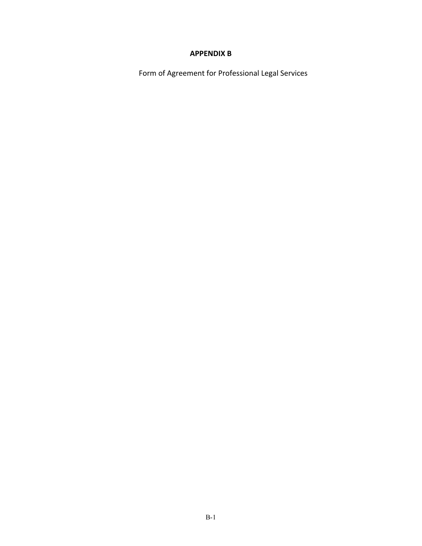# **APPENDIX B**

Form of Agreement for Professional Legal Services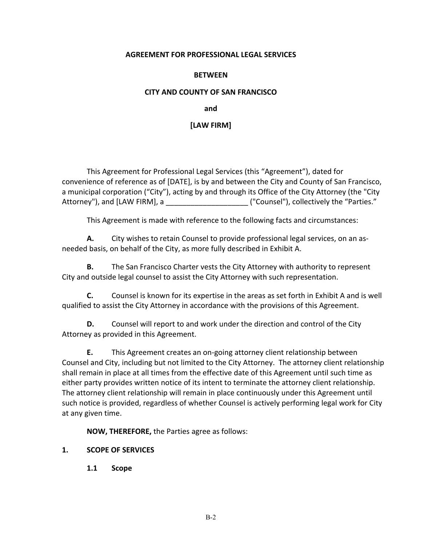#### **AGREEMENT FOR PROFESSIONAL LEGAL SERVICES**

#### **BETWEEN**

#### **CITY AND COUNTY OF SAN FRANCISCO**

**and**

#### **[LAW FIRM]**

This Agreement for Professional Legal Services (this "Agreement"), dated for convenience of reference as of [DATE], is by and between the City and County of San Francisco, a municipal corporation ("City"), acting by and through its Office of the City Attorney (the "City Attorney"), and [LAW FIRM], a \_\_\_\_\_\_\_\_\_\_\_\_\_\_\_\_\_\_\_\_ ("Counsel"), collectively the "Parties."

This Agreement is made with reference to the following facts and circumstances:

**A.** City wishes to retain Counsel to provide professional legal services, on an asneeded basis, on behalf of the City, as more fully described in Exhibit A.

**B.** The San Francisco Charter vests the City Attorney with authority to represent City and outside legal counsel to assist the City Attorney with such representation.

**C.** Counsel is known for its expertise in the areas as set forth in Exhibit A and is well qualified to assist the City Attorney in accordance with the provisions of this Agreement.

**D.** Counsel will report to and work under the direction and control of the City Attorney as provided in this Agreement.

**E.** This Agreement creates an on-going attorney client relationship between Counsel and City, including but not limited to the City Attorney. The attorney client relationship shall remain in place at all times from the effective date of this Agreement until such time as either party provides written notice of its intent to terminate the attorney client relationship. The attorney client relationship will remain in place continuously under this Agreement until such notice is provided, regardless of whether Counsel is actively performing legal work for City at any given time.

**NOW, THEREFORE,** the Parties agree as follows:

#### **1. SCOPE OF SERVICES**

**1.1 Scope**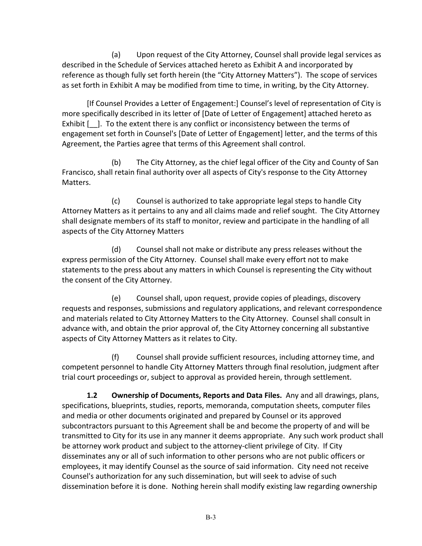(a) Upon request of the City Attorney, Counsel shall provide legal services as described in the Schedule of Services attached hereto as Exhibit A and incorporated by reference as though fully set forth herein (the "City Attorney Matters"). The scope of services as set forth in Exhibit A may be modified from time to time, in writing, by the City Attorney.

[If Counsel Provides a Letter of Engagement:] Counsel's level of representation of City is more specifically described in its letter of [Date of Letter of Engagement] attached hereto as Exhibit  $\begin{bmatrix} \end{bmatrix}$ . To the extent there is any conflict or inconsistency between the terms of engagement set forth in Counsel's [Date of Letter of Engagement] letter, and the terms of this Agreement, the Parties agree that terms of this Agreement shall control.

(b) The City Attorney, as the chief legal officer of the City and County of San Francisco, shall retain final authority over all aspects of City's response to the City Attorney Matters.

(c) Counsel is authorized to take appropriate legal steps to handle City Attorney Matters as it pertains to any and all claims made and relief sought. The City Attorney shall designate members of its staff to monitor, review and participate in the handling of all aspects of the City Attorney Matters

(d) Counsel shall not make or distribute any press releases without the express permission of the City Attorney. Counsel shall make every effort not to make statements to the press about any matters in which Counsel is representing the City without the consent of the City Attorney.

(e) Counsel shall, upon request, provide copies of pleadings, discovery requests and responses, submissions and regulatory applications, and relevant correspondence and materials related to City Attorney Matters to the City Attorney. Counsel shall consult in advance with, and obtain the prior approval of, the City Attorney concerning all substantive aspects of City Attorney Matters as it relates to City.

(f) Counsel shall provide sufficient resources, including attorney time, and competent personnel to handle City Attorney Matters through final resolution, judgment after trial court proceedings or, subject to approval as provided herein, through settlement.

**1.2 Ownership of Documents, Reports and Data Files.** Any and all drawings, plans, specifications, blueprints, studies, reports, memoranda, computation sheets, computer files and media or other documents originated and prepared by Counsel or its approved subcontractors pursuant to this Agreement shall be and become the property of and will be transmitted to City for its use in any manner it deems appropriate. Any such work product shall be attorney work product and subject to the attorney-client privilege of City. If City disseminates any or all of such information to other persons who are not public officers or employees, it may identify Counsel as the source of said information. City need not receive Counsel's authorization for any such dissemination, but will seek to advise of such dissemination before it is done. Nothing herein shall modify existing law regarding ownership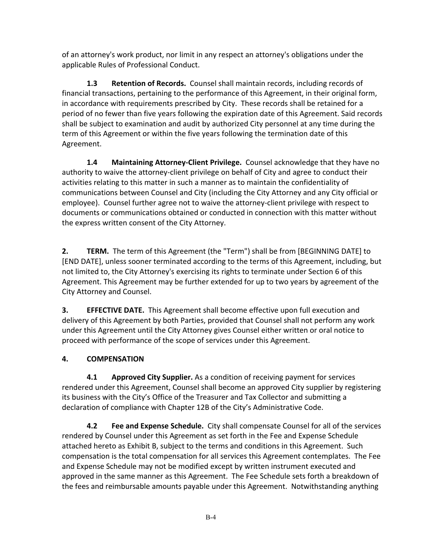of an attorney's work product, nor limit in any respect an attorney's obligations under the applicable Rules of Professional Conduct.

**1.3 Retention of Records.** Counsel shall maintain records, including records of financial transactions, pertaining to the performance of this Agreement, in their original form, in accordance with requirements prescribed by City. These records shall be retained for a period of no fewer than five years following the expiration date of this Agreement. Said records shall be subject to examination and audit by authorized City personnel at any time during the term of this Agreement or within the five years following the termination date of this Agreement.

**1.4 Maintaining Attorney-Client Privilege.** Counsel acknowledge that they have no authority to waive the attorney-client privilege on behalf of City and agree to conduct their activities relating to this matter in such a manner as to maintain the confidentiality of communications between Counsel and City (including the City Attorney and any City official or employee). Counsel further agree not to waive the attorney-client privilege with respect to documents or communications obtained or conducted in connection with this matter without the express written consent of the City Attorney.

**2. TERM.** The term of this Agreement (the "Term") shall be from [BEGINNING DATE] to [END DATE], unless sooner terminated according to the terms of this Agreement, including, but not limited to, the City Attorney's exercising its rights to terminate under Section 6 of this Agreement. This Agreement may be further extended for up to two years by agreement of the City Attorney and Counsel.

**3. EFFECTIVE DATE.** This Agreement shall become effective upon full execution and delivery of this Agreement by both Parties, provided that Counsel shall not perform any work under this Agreement until the City Attorney gives Counsel either written or oral notice to proceed with performance of the scope of services under this Agreement.

# **4. COMPENSATION**

**4.1 Approved City Supplier.** As a condition of receiving payment for services rendered under this Agreement, Counsel shall become an approved City supplier by registering its business with the City's Office of the Treasurer and Tax Collector and submitting a declaration of compliance with Chapter 12B of the City's Administrative Code.

**4.2 Fee and Expense Schedule.** City shall compensate Counsel for all of the services rendered by Counsel under this Agreement as set forth in the Fee and Expense Schedule attached hereto as Exhibit B, subject to the terms and conditions in this Agreement. Such compensation is the total compensation for all services this Agreement contemplates. The Fee and Expense Schedule may not be modified except by written instrument executed and approved in the same manner as this Agreement. The Fee Schedule sets forth a breakdown of the fees and reimbursable amounts payable under this Agreement. Notwithstanding anything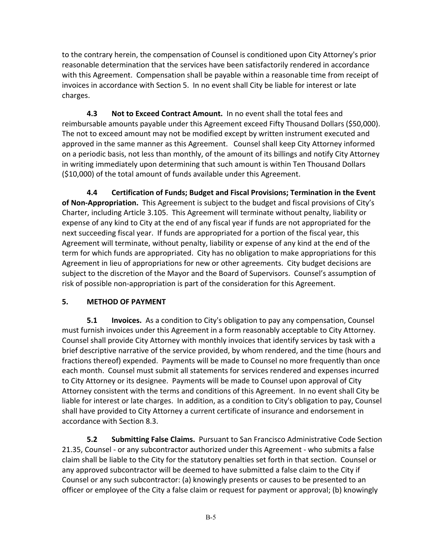to the contrary herein, the compensation of Counsel is conditioned upon City Attorney's prior reasonable determination that the services have been satisfactorily rendered in accordance with this Agreement. Compensation shall be payable within a reasonable time from receipt of invoices in accordance with Section 5. In no event shall City be liable for interest or late charges.

**4.3 Not to Exceed Contract Amount.** In no event shall the total fees and reimbursable amounts payable under this Agreement exceed Fifty Thousand Dollars (\$50,000). The not to exceed amount may not be modified except by written instrument executed and approved in the same manner as this Agreement. Counsel shall keep City Attorney informed on a periodic basis, not less than monthly, of the amount of its billings and notify City Attorney in writing immediately upon determining that such amount is within Ten Thousand Dollars (\$10,000) of the total amount of funds available under this Agreement.

**4.4 Certification of Funds; Budget and Fiscal Provisions; Termination in the Event of Non-Appropriation.** This Agreement is subject to the budget and fiscal provisions of City's Charter, including Article 3.105. This Agreement will terminate without penalty, liability or expense of any kind to City at the end of any fiscal year if funds are not appropriated for the next succeeding fiscal year. If funds are appropriated for a portion of the fiscal year, this Agreement will terminate, without penalty, liability or expense of any kind at the end of the term for which funds are appropriated. City has no obligation to make appropriations for this Agreement in lieu of appropriations for new or other agreements. City budget decisions are subject to the discretion of the Mayor and the Board of Supervisors. Counsel's assumption of risk of possible non-appropriation is part of the consideration for this Agreement.

# **5. METHOD OF PAYMENT**

**5.1 Invoices.** As a condition to City's obligation to pay any compensation, Counsel must furnish invoices under this Agreement in a form reasonably acceptable to City Attorney. Counsel shall provide City Attorney with monthly invoices that identify services by task with a brief descriptive narrative of the service provided, by whom rendered, and the time (hours and fractions thereof) expended. Payments will be made to Counsel no more frequently than once each month. Counsel must submit all statements for services rendered and expenses incurred to City Attorney or its designee. Payments will be made to Counsel upon approval of City Attorney consistent with the terms and conditions of this Agreement. In no event shall City be liable for interest or late charges. In addition, as a condition to City's obligation to pay, Counsel shall have provided to City Attorney a current certificate of insurance and endorsement in accordance with Section 8.3.

**5.2 Submitting False Claims.** Pursuant to San Francisco Administrative Code Section 21.35, Counsel - or any subcontractor authorized under this Agreement - who submits a false claim shall be liable to the City for the statutory penalties set forth in that section. Counsel or any approved subcontractor will be deemed to have submitted a false claim to the City if Counsel or any such subcontractor: (a) knowingly presents or causes to be presented to an officer or employee of the City a false claim or request for payment or approval; (b) knowingly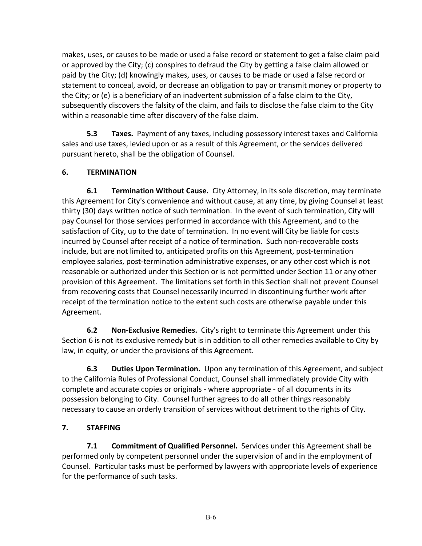makes, uses, or causes to be made or used a false record or statement to get a false claim paid or approved by the City; (c) conspires to defraud the City by getting a false claim allowed or paid by the City; (d) knowingly makes, uses, or causes to be made or used a false record or statement to conceal, avoid, or decrease an obligation to pay or transmit money or property to the City; or (e) is a beneficiary of an inadvertent submission of a false claim to the City, subsequently discovers the falsity of the claim, and fails to disclose the false claim to the City within a reasonable time after discovery of the false claim.

**5.3 Taxes.** Payment of any taxes, including possessory interest taxes and California sales and use taxes, levied upon or as a result of this Agreement, or the services delivered pursuant hereto, shall be the obligation of Counsel.

# **6. TERMINATION**

**6.1 Termination Without Cause.** City Attorney, in its sole discretion, may terminate this Agreement for City's convenience and without cause, at any time, by giving Counsel at least thirty (30) days written notice of such termination. In the event of such termination, City will pay Counsel for those services performed in accordance with this Agreement, and to the satisfaction of City, up to the date of termination. In no event will City be liable for costs incurred by Counsel after receipt of a notice of termination. Such non-recoverable costs include, but are not limited to, anticipated profits on this Agreement, post-termination employee salaries, post-termination administrative expenses, or any other cost which is not reasonable or authorized under this Section or is not permitted under Section 11 or any other provision of this Agreement. The limitations set forth in this Section shall not prevent Counsel from recovering costs that Counsel necessarily incurred in discontinuing further work after receipt of the termination notice to the extent such costs are otherwise payable under this Agreement.

**6.2 Non-Exclusive Remedies.** City's right to terminate this Agreement under this Section 6 is not its exclusive remedy but is in addition to all other remedies available to City by law, in equity, or under the provisions of this Agreement.

**6.3 Duties Upon Termination.** Upon any termination of this Agreement, and subject to the California Rules of Professional Conduct, Counsel shall immediately provide City with complete and accurate copies or originals - where appropriate - of all documents in its possession belonging to City. Counsel further agrees to do all other things reasonably necessary to cause an orderly transition of services without detriment to the rights of City.

# **7. STAFFING**

**7.1 Commitment of Qualified Personnel.** Services under this Agreement shall be performed only by competent personnel under the supervision of and in the employment of Counsel. Particular tasks must be performed by lawyers with appropriate levels of experience for the performance of such tasks.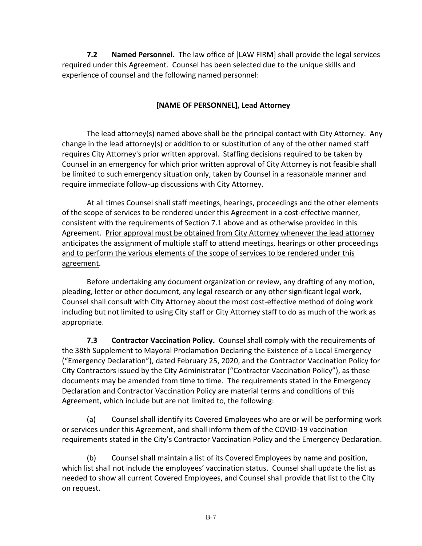**7.2 Named Personnel.** The law office of [LAW FIRM] shall provide the legal services required under this Agreement. Counsel has been selected due to the unique skills and experience of counsel and the following named personnel:

# **[NAME OF PERSONNEL], Lead Attorney**

The lead attorney(s) named above shall be the principal contact with City Attorney. Any change in the lead attorney(s) or addition to or substitution of any of the other named staff requires City Attorney's prior written approval. Staffing decisions required to be taken by Counsel in an emergency for which prior written approval of City Attorney is not feasible shall be limited to such emergency situation only, taken by Counsel in a reasonable manner and require immediate follow-up discussions with City Attorney.

At all times Counsel shall staff meetings, hearings, proceedings and the other elements of the scope of services to be rendered under this Agreement in a cost-effective manner, consistent with the requirements of Section 7.1 above and as otherwise provided in this Agreement. Prior approval must be obtained from City Attorney whenever the lead attorney anticipates the assignment of multiple staff to attend meetings, hearings or other proceedings and to perform the various elements of the scope of services to be rendered under this agreement.

Before undertaking any document organization or review, any drafting of any motion, pleading, letter or other document, any legal research or any other significant legal work, Counsel shall consult with City Attorney about the most cost-effective method of doing work including but not limited to using City staff or City Attorney staff to do as much of the work as appropriate.

**7.3 Contractor Vaccination Policy.** Counsel shall comply with the requirements of the 38th Supplement to Mayoral Proclamation Declaring the Existence of a Local Emergency ("Emergency Declaration"), dated February 25, 2020, and the Contractor Vaccination Policy for City Contractors issued by the City Administrator ("Contractor Vaccination Policy"), as those documents may be amended from time to time. The requirements stated in the Emergency Declaration and Contractor Vaccination Policy are material terms and conditions of this Agreement, which include but are not limited to, the following:

(a) Counsel shall identify its Covered Employees who are or will be performing work or services under this Agreement, and shall inform them of the COVID-19 vaccination requirements stated in the City's Contractor Vaccination Policy and the Emergency Declaration.

(b) Counsel shall maintain a list of its Covered Employees by name and position, which list shall not include the employees' vaccination status. Counsel shall update the list as needed to show all current Covered Employees, and Counsel shall provide that list to the City on request.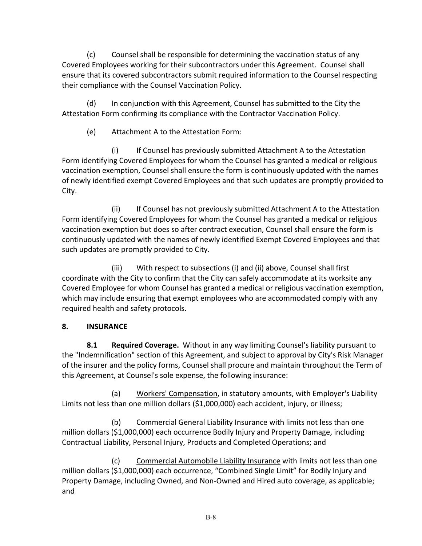(c) Counsel shall be responsible for determining the vaccination status of any Covered Employees working for their subcontractors under this Agreement. Counsel shall ensure that its covered subcontractors submit required information to the Counsel respecting their compliance with the Counsel Vaccination Policy.

(d) In conjunction with this Agreement, Counsel has submitted to the City the Attestation Form confirming its compliance with the Contractor Vaccination Policy.

(e) Attachment A to the Attestation Form:

(i) If Counsel has previously submitted Attachment A to the Attestation Form identifying Covered Employees for whom the Counsel has granted a medical or religious vaccination exemption, Counsel shall ensure the form is continuously updated with the names of newly identified exempt Covered Employees and that such updates are promptly provided to City.

(ii) If Counsel has not previously submitted Attachment A to the Attestation Form identifying Covered Employees for whom the Counsel has granted a medical or religious vaccination exemption but does so after contract execution, Counsel shall ensure the form is continuously updated with the names of newly identified Exempt Covered Employees and that such updates are promptly provided to City.

(iii) With respect to subsections (i) and (ii) above, Counsel shall first coordinate with the City to confirm that the City can safely accommodate at its worksite any Covered Employee for whom Counsel has granted a medical or religious vaccination exemption, which may include ensuring that exempt employees who are accommodated comply with any required health and safety protocols.

# **8. INSURANCE**

**8.1 Required Coverage.** Without in any way limiting Counsel's liability pursuant to the "Indemnification" section of this Agreement, and subject to approval by City's Risk Manager of the insurer and the policy forms, Counsel shall procure and maintain throughout the Term of this Agreement, at Counsel's sole expense, the following insurance:

(a) Workers' Compensation, in statutory amounts, with Employer's Liability Limits not less than one million dollars (\$1,000,000) each accident, injury, or illness;

(b) Commercial General Liability Insurance with limits not less than one million dollars (\$1,000,000) each occurrence Bodily Injury and Property Damage, including Contractual Liability, Personal Injury, Products and Completed Operations; and

(c) Commercial Automobile Liability Insurance with limits not less than one million dollars (\$1,000,000) each occurrence, "Combined Single Limit" for Bodily Injury and Property Damage, including Owned, and Non-Owned and Hired auto coverage, as applicable; and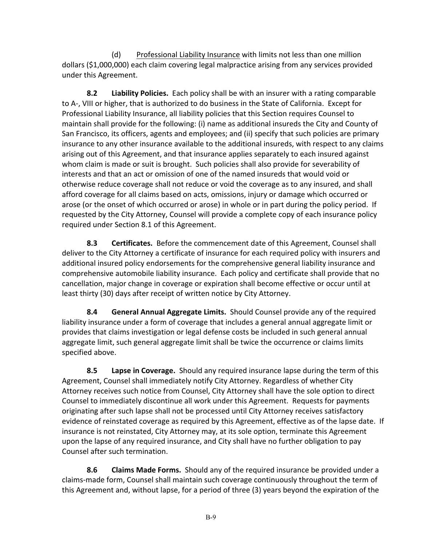(d) Professional Liability Insurance with limits not less than one million dollars (\$1,000,000) each claim covering legal malpractice arising from any services provided under this Agreement.

**8.2 Liability Policies.** Each policy shall be with an insurer with a rating comparable to A-, VIII or higher, that is authorized to do business in the State of California. Except for Professional Liability Insurance, all liability policies that this Section requires Counsel to maintain shall provide for the following: (i) name as additional insureds the City and County of San Francisco, its officers, agents and employees; and (ii) specify that such policies are primary insurance to any other insurance available to the additional insureds, with respect to any claims arising out of this Agreement, and that insurance applies separately to each insured against whom claim is made or suit is brought. Such policies shall also provide for severability of interests and that an act or omission of one of the named insureds that would void or otherwise reduce coverage shall not reduce or void the coverage as to any insured, and shall afford coverage for all claims based on acts, omissions, injury or damage which occurred or arose (or the onset of which occurred or arose) in whole or in part during the policy period. If requested by the City Attorney, Counsel will provide a complete copy of each insurance policy required under Section 8.1 of this Agreement.

**8.3 Certificates.** Before the commencement date of this Agreement, Counsel shall deliver to the City Attorney a certificate of insurance for each required policy with insurers and additional insured policy endorsements for the comprehensive general liability insurance and comprehensive automobile liability insurance. Each policy and certificate shall provide that no cancellation, major change in coverage or expiration shall become effective or occur until at least thirty (30) days after receipt of written notice by City Attorney.

**8.4 General Annual Aggregate Limits.** Should Counsel provide any of the required liability insurance under a form of coverage that includes a general annual aggregate limit or provides that claims investigation or legal defense costs be included in such general annual aggregate limit, such general aggregate limit shall be twice the occurrence or claims limits specified above.

**8.5 Lapse in Coverage.** Should any required insurance lapse during the term of this Agreement, Counsel shall immediately notify City Attorney. Regardless of whether City Attorney receives such notice from Counsel, City Attorney shall have the sole option to direct Counsel to immediately discontinue all work under this Agreement. Requests for payments originating after such lapse shall not be processed until City Attorney receives satisfactory evidence of reinstated coverage as required by this Agreement, effective as of the lapse date. If insurance is not reinstated, City Attorney may, at its sole option, terminate this Agreement upon the lapse of any required insurance, and City shall have no further obligation to pay Counsel after such termination.

**8.6 Claims Made Forms.** Should any of the required insurance be provided under a claims-made form, Counsel shall maintain such coverage continuously throughout the term of this Agreement and, without lapse, for a period of three (3) years beyond the expiration of the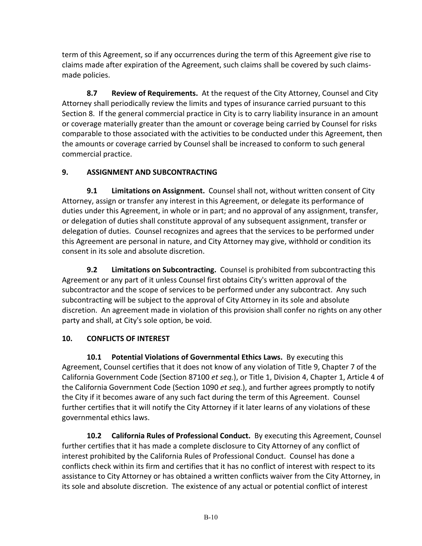term of this Agreement, so if any occurrences during the term of this Agreement give rise to claims made after expiration of the Agreement, such claims shall be covered by such claimsmade policies.

**8.7 Review of Requirements.** At the request of the City Attorney, Counsel and City Attorney shall periodically review the limits and types of insurance carried pursuant to this Section 8. If the general commercial practice in City is to carry liability insurance in an amount or coverage materially greater than the amount or coverage being carried by Counsel for risks comparable to those associated with the activities to be conducted under this Agreement, then the amounts or coverage carried by Counsel shall be increased to conform to such general commercial practice.

# **9. ASSIGNMENT AND SUBCONTRACTING**

**9.1 Limitations on Assignment.** Counsel shall not, without written consent of City Attorney, assign or transfer any interest in this Agreement, or delegate its performance of duties under this Agreement, in whole or in part; and no approval of any assignment, transfer, or delegation of duties shall constitute approval of any subsequent assignment, transfer or delegation of duties. Counsel recognizes and agrees that the services to be performed under this Agreement are personal in nature, and City Attorney may give, withhold or condition its consent in its sole and absolute discretion.

**9.2 Limitations on Subcontracting.** Counsel is prohibited from subcontracting this Agreement or any part of it unless Counsel first obtains City's written approval of the subcontractor and the scope of services to be performed under any subcontract. Any such subcontracting will be subject to the approval of City Attorney in its sole and absolute discretion. An agreement made in violation of this provision shall confer no rights on any other party and shall, at City's sole option, be void.

# **10. CONFLICTS OF INTEREST**

**10.1 Potential Violations of Governmental Ethics Laws.** By executing this Agreement, Counsel certifies that it does not know of any violation of Title 9, Chapter 7 of the California Government Code (Section 87100 *et seq.*), or Title 1, Division 4, Chapter 1, Article 4 of the California Government Code (Section 1090 *et seq.*), and further agrees promptly to notify the City if it becomes aware of any such fact during the term of this Agreement. Counsel further certifies that it will notify the City Attorney if it later learns of any violations of these governmental ethics laws.

**10.2 California Rules of Professional Conduct.** By executing this Agreement, Counsel further certifies that it has made a complete disclosure to City Attorney of any conflict of interest prohibited by the California Rules of Professional Conduct. Counsel has done a conflicts check within its firm and certifies that it has no conflict of interest with respect to its assistance to City Attorney or has obtained a written conflicts waiver from the City Attorney, in its sole and absolute discretion. The existence of any actual or potential conflict of interest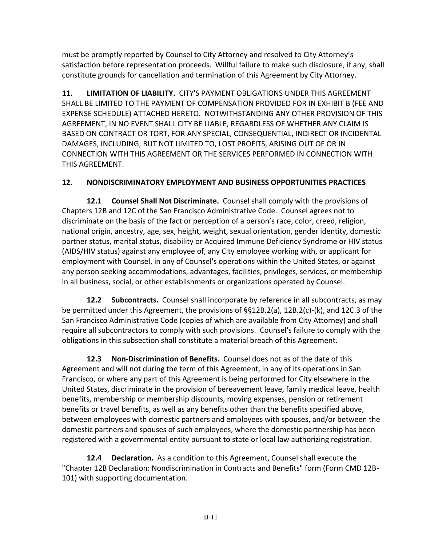must be promptly reported by Counsel to City Attorney and resolved to City Attorney's satisfaction before representation proceeds. Willful failure to make such disclosure, if any, shall constitute grounds for cancellation and termination of this Agreement by City Attorney.

**11. LIMITATION OF LIABILITY.** CITY'S PAYMENT OBLIGATIONS UNDER THIS AGREEMENT SHALL BE LIMITED TO THE PAYMENT OF COMPENSATION PROVIDED FOR IN EXHIBIT B (FEE AND EXPENSE SCHEDULE) ATTACHED HERETO. NOTWITHSTANDING ANY OTHER PROVISION OF THIS AGREEMENT, IN NO EVENT SHALL CITY BE LIABLE, REGARDLESS OF WHETHER ANY CLAIM IS BASED ON CONTRACT OR TORT, FOR ANY SPECIAL, CONSEQUENTIAL, INDIRECT OR INCIDENTAL DAMAGES, INCLUDING, BUT NOT LIMITED TO, LOST PROFITS, ARISING OUT OF OR IN CONNECTION WITH THIS AGREEMENT OR THE SERVICES PERFORMED IN CONNECTION WITH THIS AGREEMENT.

# **12. NONDISCRIMINATORY EMPLOYMENT AND BUSINESS OPPORTUNITIES PRACTICES**

**12.1 Counsel Shall Not Discriminate.** Counsel shall comply with the provisions of Chapters 12B and 12C of the San Francisco Administrative Code. Counsel agrees not to discriminate on the basis of the fact or perception of a person's race, color, creed, religion, national origin, ancestry, age, sex, height, weight, sexual orientation, gender identity, domestic partner status, marital status, disability or Acquired Immune Deficiency Syndrome or HIV status (AIDS/HIV status) against any employee of, any City employee working with, or applicant for employment with Counsel, in any of Counsel's operations within the United States, or against any person seeking accommodations, advantages, facilities, privileges, services, or membership in all business, social, or other establishments or organizations operated by Counsel.

**12.2 Subcontracts.** Counsel shall incorporate by reference in all subcontracts, as may be permitted under this Agreement, the provisions of §§12B.2(a), 12B.2(c)-(k), and 12C.3 of the San Francisco Administrative Code (copies of which are available from City Attorney) and shall require all subcontractors to comply with such provisions. Counsel's failure to comply with the obligations in this subsection shall constitute a material breach of this Agreement.

**12.3 Non-Discrimination of Benefits.** Counsel does not as of the date of this Agreement and will not during the term of this Agreement, in any of its operations in San Francisco, or where any part of this Agreement is being performed for City elsewhere in the United States, discriminate in the provision of bereavement leave, family medical leave, health benefits, membership or membership discounts, moving expenses, pension or retirement benefits or travel benefits, as well as any benefits other than the benefits specified above, between employees with domestic partners and employees with spouses, and/or between the domestic partners and spouses of such employees, where the domestic partnership has been registered with a governmental entity pursuant to state or local law authorizing registration.

**12.4 Declaration.** As a condition to this Agreement, Counsel shall execute the "Chapter 12B Declaration: Nondiscrimination in Contracts and Benefits" form (Form CMD 12B-101) with supporting documentation.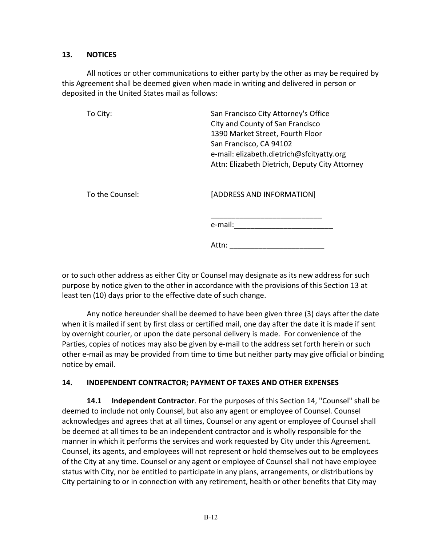### **13. NOTICES**

All notices or other communications to either party by the other as may be required by this Agreement shall be deemed given when made in writing and delivered in person or deposited in the United States mail as follows:

| To City: | San Francisco City Attorney's Office           |
|----------|------------------------------------------------|
|          | City and County of San Francisco               |
|          | 1390 Market Street, Fourth Floor               |
|          | San Francisco, CA 94102                        |
|          | e-mail: elizabeth.dietrich@sfcityatty.org      |
|          | Attn: Elizabeth Dietrich, Deputy City Attorney |
|          |                                                |
|          |                                                |

To the Counsel: [ADDRESS AND INFORMATION]

\_\_\_\_\_\_\_\_\_\_\_\_\_\_\_\_\_\_\_\_\_\_\_\_\_\_\_ e-mail:\_\_\_\_\_\_\_\_\_\_\_\_\_\_\_\_\_\_\_\_\_\_\_\_

Attn: \_\_\_\_\_\_\_\_\_\_\_\_\_\_\_\_\_\_\_\_\_\_\_

or to such other address as either City or Counsel may designate as its new address for such purpose by notice given to the other in accordance with the provisions of this Section 13 at least ten (10) days prior to the effective date of such change.

Any notice hereunder shall be deemed to have been given three (3) days after the date when it is mailed if sent by first class or certified mail, one day after the date it is made if sent by overnight courier, or upon the date personal delivery is made. For convenience of the Parties, copies of notices may also be given by e-mail to the address set forth herein or such other e-mail as may be provided from time to time but neither party may give official or binding notice by email.

# **14. INDEPENDENT CONTRACTOR; PAYMENT OF TAXES AND OTHER EXPENSES**

**14.1 Independent Contractor**. For the purposes of this Section 14, "Counsel" shall be deemed to include not only Counsel, but also any agent or employee of Counsel. Counsel acknowledges and agrees that at all times, Counsel or any agent or employee of Counsel shall be deemed at all times to be an independent contractor and is wholly responsible for the manner in which it performs the services and work requested by City under this Agreement. Counsel, its agents, and employees will not represent or hold themselves out to be employees of the City at any time. Counsel or any agent or employee of Counsel shall not have employee status with City, nor be entitled to participate in any plans, arrangements, or distributions by City pertaining to or in connection with any retirement, health or other benefits that City may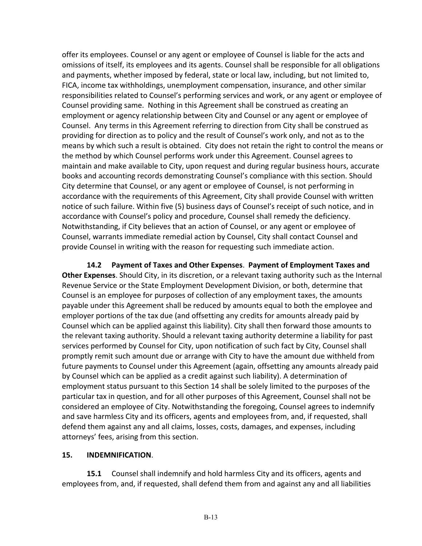offer its employees. Counsel or any agent or employee of Counsel is liable for the acts and omissions of itself, its employees and its agents. Counsel shall be responsible for all obligations and payments, whether imposed by federal, state or local law, including, but not limited to, FICA, income tax withholdings, unemployment compensation, insurance, and other similar responsibilities related to Counsel's performing services and work, or any agent or employee of Counsel providing same. Nothing in this Agreement shall be construed as creating an employment or agency relationship between City and Counsel or any agent or employee of Counsel. Any terms in this Agreement referring to direction from City shall be construed as providing for direction as to policy and the result of Counsel's work only, and not as to the means by which such a result is obtained. City does not retain the right to control the means or the method by which Counsel performs work under this Agreement. Counsel agrees to maintain and make available to City, upon request and during regular business hours, accurate books and accounting records demonstrating Counsel's compliance with this section. Should City determine that Counsel, or any agent or employee of Counsel, is not performing in accordance with the requirements of this Agreement, City shall provide Counsel with written notice of such failure. Within five (5) business days of Counsel's receipt of such notice, and in accordance with Counsel's policy and procedure, Counsel shall remedy the deficiency. Notwithstanding, if City believes that an action of Counsel, or any agent or employee of Counsel, warrants immediate remedial action by Counsel, City shall contact Counsel and provide Counsel in writing with the reason for requesting such immediate action.

**14.2 Payment of Taxes and Other Expenses**. **Payment of Employment Taxes and Other Expenses**. Should City, in its discretion, or a relevant taxing authority such as the Internal Revenue Service or the State Employment Development Division, or both, determine that Counsel is an employee for purposes of collection of any employment taxes, the amounts payable under this Agreement shall be reduced by amounts equal to both the employee and employer portions of the tax due (and offsetting any credits for amounts already paid by Counsel which can be applied against this liability). City shall then forward those amounts to the relevant taxing authority. Should a relevant taxing authority determine a liability for past services performed by Counsel for City, upon notification of such fact by City, Counsel shall promptly remit such amount due or arrange with City to have the amount due withheld from future payments to Counsel under this Agreement (again, offsetting any amounts already paid by Counsel which can be applied as a credit against such liability). A determination of employment status pursuant to this Section 14 shall be solely limited to the purposes of the particular tax in question, and for all other purposes of this Agreement, Counsel shall not be considered an employee of City. Notwithstanding the foregoing, Counsel agrees to indemnify and save harmless City and its officers, agents and employees from, and, if requested, shall defend them against any and all claims, losses, costs, damages, and expenses, including attorneys' fees, arising from this section.

# **15. INDEMNIFICATION**.

**15.1** Counsel shall indemnify and hold harmless City and its officers, agents and employees from, and, if requested, shall defend them from and against any and all liabilities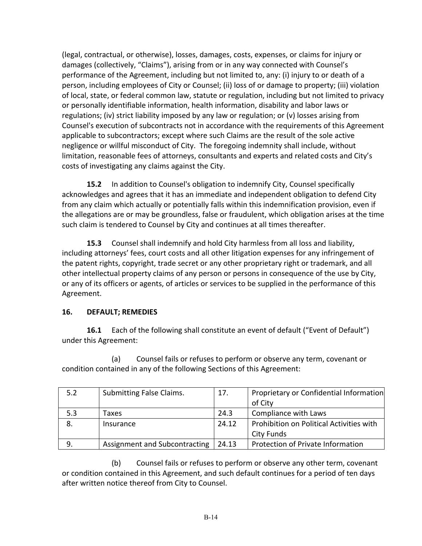(legal, contractual, or otherwise), losses, damages, costs, expenses, or claims for injury or damages (collectively, "Claims"), arising from or in any way connected with Counsel's performance of the Agreement, including but not limited to, any: (i) injury to or death of a person, including employees of City or Counsel; (ii) loss of or damage to property; (iii) violation of local, state, or federal common law, statute or regulation, including but not limited to privacy or personally identifiable information, health information, disability and labor laws or regulations; (iv) strict liability imposed by any law or regulation; or (v) losses arising from Counsel's execution of subcontracts not in accordance with the requirements of this Agreement applicable to subcontractors; except where such Claims are the result of the sole active negligence or willful misconduct of City. The foregoing indemnity shall include, without limitation, reasonable fees of attorneys, consultants and experts and related costs and City's costs of investigating any claims against the City.

**15.2** In addition to Counsel's obligation to indemnify City, Counsel specifically acknowledges and agrees that it has an immediate and independent obligation to defend City from any claim which actually or potentially falls within this indemnification provision, even if the allegations are or may be groundless, false or fraudulent, which obligation arises at the time such claim is tendered to Counsel by City and continues at all times thereafter.

**15.3** Counsel shall indemnify and hold City harmless from all loss and liability, including attorneys' fees, court costs and all other litigation expenses for any infringement of the patent rights, copyright, trade secret or any other proprietary right or trademark, and all other intellectual property claims of any person or persons in consequence of the use by City, or any of its officers or agents, of articles or services to be supplied in the performance of this Agreement.

# **16. DEFAULT; REMEDIES**

**16.1** Each of the following shall constitute an event of default ("Event of Default") under this Agreement:

(a) Counsel fails or refuses to perform or observe any term, covenant or condition contained in any of the following Sections of this Agreement:

| 5.2 | <b>Submitting False Claims.</b> | 17.   | Proprietary or Confidential Information  |
|-----|---------------------------------|-------|------------------------------------------|
|     |                                 |       | of City                                  |
| 5.3 | Taxes                           | 24.3  | Compliance with Laws                     |
| 8.  | Insurance                       | 24.12 | Prohibition on Political Activities with |
|     |                                 |       | City Funds                               |
| 9.  | Assignment and Subcontracting   | 24.13 | Protection of Private Information        |

(b) Counsel fails or refuses to perform or observe any other term, covenant or condition contained in this Agreement, and such default continues for a period of ten days after written notice thereof from City to Counsel.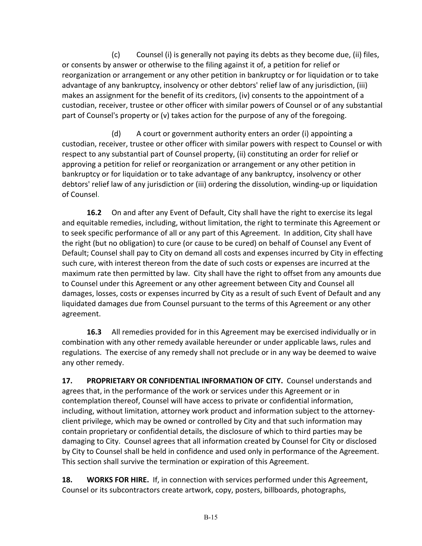(c) Counsel (i) is generally not paying its debts as they become due, (ii) files, or consents by answer or otherwise to the filing against it of, a petition for relief or reorganization or arrangement or any other petition in bankruptcy or for liquidation or to take advantage of any bankruptcy, insolvency or other debtors' relief law of any jurisdiction, (iii) makes an assignment for the benefit of its creditors, (iv) consents to the appointment of a custodian, receiver, trustee or other officer with similar powers of Counsel or of any substantial part of Counsel's property or (v) takes action for the purpose of any of the foregoing.

(d) A court or government authority enters an order (i) appointing a custodian, receiver, trustee or other officer with similar powers with respect to Counsel or with respect to any substantial part of Counsel property, (ii) constituting an order for relief or approving a petition for relief or reorganization or arrangement or any other petition in bankruptcy or for liquidation or to take advantage of any bankruptcy, insolvency or other debtors' relief law of any jurisdiction or (iii) ordering the dissolution, winding-up or liquidation of Counsel.

**16.2** On and after any Event of Default, City shall have the right to exercise its legal and equitable remedies, including, without limitation, the right to terminate this Agreement or to seek specific performance of all or any part of this Agreement. In addition, City shall have the right (but no obligation) to cure (or cause to be cured) on behalf of Counsel any Event of Default; Counsel shall pay to City on demand all costs and expenses incurred by City in effecting such cure, with interest thereon from the date of such costs or expenses are incurred at the maximum rate then permitted by law. City shall have the right to offset from any amounts due to Counsel under this Agreement or any other agreement between City and Counsel all damages, losses, costs or expenses incurred by City as a result of such Event of Default and any liquidated damages due from Counsel pursuant to the terms of this Agreement or any other agreement.

**16.3** All remedies provided for in this Agreement may be exercised individually or in combination with any other remedy available hereunder or under applicable laws, rules and regulations. The exercise of any remedy shall not preclude or in any way be deemed to waive any other remedy.

**17. PROPRIETARY OR CONFIDENTIAL INFORMATION OF CITY.** Counsel understands and agrees that, in the performance of the work or services under this Agreement or in contemplation thereof, Counsel will have access to private or confidential information, including, without limitation, attorney work product and information subject to the attorneyclient privilege, which may be owned or controlled by City and that such information may contain proprietary or confidential details, the disclosure of which to third parties may be damaging to City. Counsel agrees that all information created by Counsel for City or disclosed by City to Counsel shall be held in confidence and used only in performance of the Agreement. This section shall survive the termination or expiration of this Agreement.

**18. WORKS FOR HIRE.** If, in connection with services performed under this Agreement, Counsel or its subcontractors create artwork, copy, posters, billboards, photographs,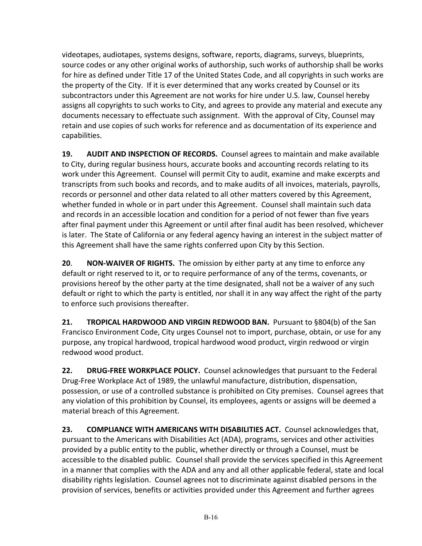videotapes, audiotapes, systems designs, software, reports, diagrams, surveys, blueprints, source codes or any other original works of authorship, such works of authorship shall be works for hire as defined under Title 17 of the United States Code, and all copyrights in such works are the property of the City. If it is ever determined that any works created by Counsel or its subcontractors under this Agreement are not works for hire under U.S. law, Counsel hereby assigns all copyrights to such works to City, and agrees to provide any material and execute any documents necessary to effectuate such assignment. With the approval of City, Counsel may retain and use copies of such works for reference and as documentation of its experience and capabilities.

**19. AUDIT AND INSPECTION OF RECORDS.** Counsel agrees to maintain and make available to City, during regular business hours, accurate books and accounting records relating to its work under this Agreement. Counsel will permit City to audit, examine and make excerpts and transcripts from such books and records, and to make audits of all invoices, materials, payrolls, records or personnel and other data related to all other matters covered by this Agreement, whether funded in whole or in part under this Agreement. Counsel shall maintain such data and records in an accessible location and condition for a period of not fewer than five years after final payment under this Agreement or until after final audit has been resolved, whichever is later. The State of California or any federal agency having an interest in the subject matter of this Agreement shall have the same rights conferred upon City by this Section.

**20**. **NON-WAIVER OF RIGHTS.** The omission by either party at any time to enforce any default or right reserved to it, or to require performance of any of the terms, covenants, or provisions hereof by the other party at the time designated, shall not be a waiver of any such default or right to which the party is entitled, nor shall it in any way affect the right of the party to enforce such provisions thereafter.

**21. TROPICAL HARDWOOD AND VIRGIN REDWOOD BAN.** Pursuant to §804(b) of the San Francisco Environment Code, City urges Counsel not to import, purchase, obtain, or use for any purpose, any tropical hardwood, tropical hardwood wood product, virgin redwood or virgin redwood wood product.

**22. DRUG-FREE WORKPLACE POLICY.** Counsel acknowledges that pursuant to the Federal Drug-Free Workplace Act of 1989, the unlawful manufacture, distribution, dispensation, possession, or use of a controlled substance is prohibited on City premises. Counsel agrees that any violation of this prohibition by Counsel, its employees, agents or assigns will be deemed a material breach of this Agreement.

**23. COMPLIANCE WITH AMERICANS WITH DISABILITIES ACT.** Counsel acknowledges that, pursuant to the Americans with Disabilities Act (ADA), programs, services and other activities provided by a public entity to the public, whether directly or through a Counsel, must be accessible to the disabled public. Counsel shall provide the services specified in this Agreement in a manner that complies with the ADA and any and all other applicable federal, state and local disability rights legislation. Counsel agrees not to discriminate against disabled persons in the provision of services, benefits or activities provided under this Agreement and further agrees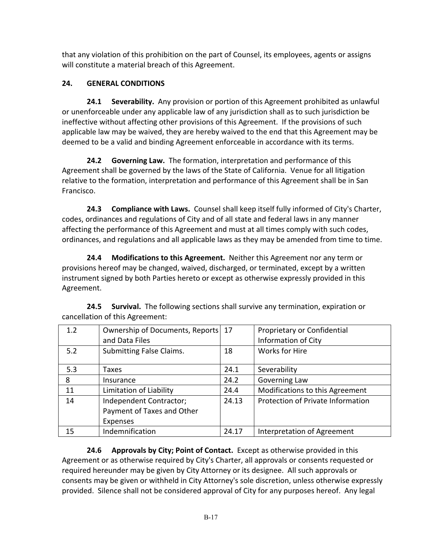that any violation of this prohibition on the part of Counsel, its employees, agents or assigns will constitute a material breach of this Agreement.

# **24. GENERAL CONDITIONS**

**24.1 Severability.** Any provision or portion of this Agreement prohibited as unlawful or unenforceable under any applicable law of any jurisdiction shall as to such jurisdiction be ineffective without affecting other provisions of this Agreement. If the provisions of such applicable law may be waived, they are hereby waived to the end that this Agreement may be deemed to be a valid and binding Agreement enforceable in accordance with its terms.

**24.2 Governing Law.** The formation, interpretation and performance of this Agreement shall be governed by the laws of the State of California. Venue for all litigation relative to the formation, interpretation and performance of this Agreement shall be in San Francisco.

**24.3 Compliance with Laws.** Counsel shall keep itself fully informed of City's Charter, codes, ordinances and regulations of City and of all state and federal laws in any manner affecting the performance of this Agreement and must at all times comply with such codes, ordinances, and regulations and all applicable laws as they may be amended from time to time.

**24.4 Modifications to this Agreement.** Neither this Agreement nor any term or provisions hereof may be changed, waived, discharged, or terminated, except by a written instrument signed by both Parties hereto or except as otherwise expressly provided in this Agreement.

| 1.2 | Ownership of Documents, Reports 17<br>and Data Files              |       | Proprietary or Confidential<br><b>Information of City</b> |
|-----|-------------------------------------------------------------------|-------|-----------------------------------------------------------|
| 5.2 | <b>Submitting False Claims.</b>                                   | 18    | <b>Works for Hire</b>                                     |
| 5.3 | Taxes                                                             | 24.1  | Severability                                              |
| 8   | Insurance                                                         | 24.2  | Governing Law                                             |
| 11  | Limitation of Liability                                           | 24.4  | Modifications to this Agreement                           |
| 14  | Independent Contractor;<br>Payment of Taxes and Other<br>Expenses | 24.13 | Protection of Private Information                         |
| 15  | Indemnification                                                   | 24.17 | Interpretation of Agreement                               |

**24.5 Survival.** The following sections shall survive any termination, expiration or cancellation of this Agreement:

**24.6 Approvals by City; Point of Contact.** Except as otherwise provided in this Agreement or as otherwise required by City's Charter, all approvals or consents requested or required hereunder may be given by City Attorney or its designee. All such approvals or consents may be given or withheld in City Attorney's sole discretion, unless otherwise expressly provided. Silence shall not be considered approval of City for any purposes hereof. Any legal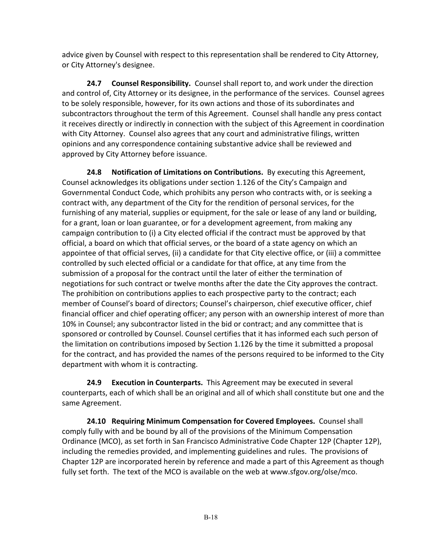advice given by Counsel with respect to this representation shall be rendered to City Attorney, or City Attorney's designee.

**24.7 Counsel Responsibility.** Counsel shall report to, and work under the direction and control of, City Attorney or its designee, in the performance of the services. Counsel agrees to be solely responsible, however, for its own actions and those of its subordinates and subcontractors throughout the term of this Agreement. Counsel shall handle any press contact it receives directly or indirectly in connection with the subject of this Agreement in coordination with City Attorney. Counsel also agrees that any court and administrative filings, written opinions and any correspondence containing substantive advice shall be reviewed and approved by City Attorney before issuance.

**24.8 Notification of Limitations on Contributions.** By executing this Agreement, Counsel acknowledges its obligations under section 1.126 of the City's Campaign and Governmental Conduct Code, which prohibits any person who contracts with, or is seeking a contract with, any department of the City for the rendition of personal services, for the furnishing of any material, supplies or equipment, for the sale or lease of any land or building, for a grant, loan or loan guarantee, or for a development agreement, from making any campaign contribution to (i) a City elected official if the contract must be approved by that official, a board on which that official serves, or the board of a state agency on which an appointee of that official serves, (ii) a candidate for that City elective office, or (iii) a committee controlled by such elected official or a candidate for that office, at any time from the submission of a proposal for the contract until the later of either the termination of negotiations for such contract or twelve months after the date the City approves the contract. The prohibition on contributions applies to each prospective party to the contract; each member of Counsel's board of directors; Counsel's chairperson, chief executive officer, chief financial officer and chief operating officer; any person with an ownership interest of more than 10% in Counsel; any subcontractor listed in the bid or contract; and any committee that is sponsored or controlled by Counsel. Counsel certifies that it has informed each such person of the limitation on contributions imposed by Section 1.126 by the time it submitted a proposal for the contract, and has provided the names of the persons required to be informed to the City department with whom it is contracting.

**24.9 Execution in Counterparts.** This Agreement may be executed in several counterparts, each of which shall be an original and all of which shall constitute but one and the same Agreement.

**24.10 Requiring Minimum Compensation for Covered Employees.** Counsel shall comply fully with and be bound by all of the provisions of the Minimum Compensation Ordinance (MCO), as set forth in San Francisco Administrative Code Chapter 12P (Chapter 12P), including the remedies provided, and implementing guidelines and rules. The provisions of Chapter 12P are incorporated herein by reference and made a part of this Agreement as though fully set forth. The text of the MCO is available on the web at www.sfgov.org/olse/mco.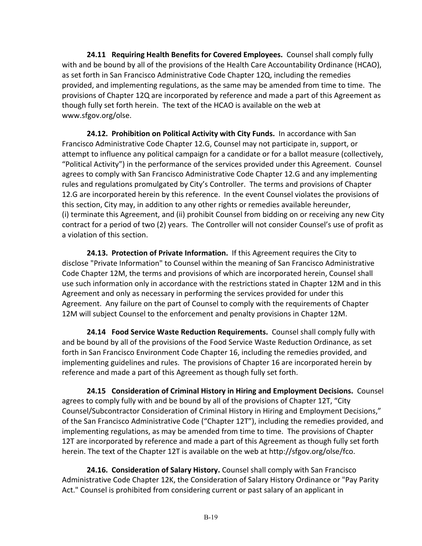**24.11 Requiring Health Benefits for Covered Employees.** Counsel shall comply fully with and be bound by all of the provisions of the Health Care Accountability Ordinance (HCAO), as set forth in San Francisco Administrative Code Chapter 12Q, including the remedies provided, and implementing regulations, as the same may be amended from time to time. The provisions of Chapter 12Q are incorporated by reference and made a part of this Agreement as though fully set forth herein. The text of the HCAO is available on the web at www.sfgov.org/olse.

**24.12. Prohibition on Political Activity with City Funds.** In accordance with San Francisco Administrative Code Chapter 12.G, Counsel may not participate in, support, or attempt to influence any political campaign for a candidate or for a ballot measure (collectively, "Political Activity") in the performance of the services provided under this Agreement. Counsel agrees to comply with San Francisco Administrative Code Chapter 12.G and any implementing rules and regulations promulgated by City's Controller. The terms and provisions of Chapter 12.G are incorporated herein by this reference. In the event Counsel violates the provisions of this section, City may, in addition to any other rights or remedies available hereunder, (i) terminate this Agreement, and (ii) prohibit Counsel from bidding on or receiving any new City contract for a period of two (2) years. The Controller will not consider Counsel's use of profit as a violation of this section.

**24.13. Protection of Private Information.** If this Agreement requires the City to disclose "Private Information" to Counsel within the meaning of San Francisco Administrative Code Chapter 12M, the terms and provisions of which are incorporated herein, Counsel shall use such information only in accordance with the restrictions stated in Chapter 12M and in this Agreement and only as necessary in performing the services provided for under this Agreement. Any failure on the part of Counsel to comply with the requirements of Chapter 12M will subject Counsel to the enforcement and penalty provisions in Chapter 12M.

**24.14 Food Service Waste Reduction Requirements.** Counsel shall comply fully with and be bound by all of the provisions of the Food Service Waste Reduction Ordinance, as set forth in San Francisco Environment Code Chapter 16, including the remedies provided, and implementing guidelines and rules. The provisions of Chapter 16 are incorporated herein by reference and made a part of this Agreement as though fully set forth.

**24.15 Consideration of Criminal History in Hiring and Employment Decisions.** Counsel agrees to comply fully with and be bound by all of the provisions of Chapter 12T, "City Counsel/Subcontractor Consideration of Criminal History in Hiring and Employment Decisions," of the San Francisco Administrative Code ("Chapter 12T"), including the remedies provided, and implementing regulations, as may be amended from time to time. The provisions of Chapter 12T are incorporated by reference and made a part of this Agreement as though fully set forth herein. The text of the Chapter 12T is available on the web at http://sfgov.org/olse/fco.

**24.16. Consideration of Salary History.** Counsel shall comply with San Francisco Administrative Code Chapter 12K, the Consideration of Salary History Ordinance or "Pay Parity Act." Counsel is prohibited from considering current or past salary of an applicant in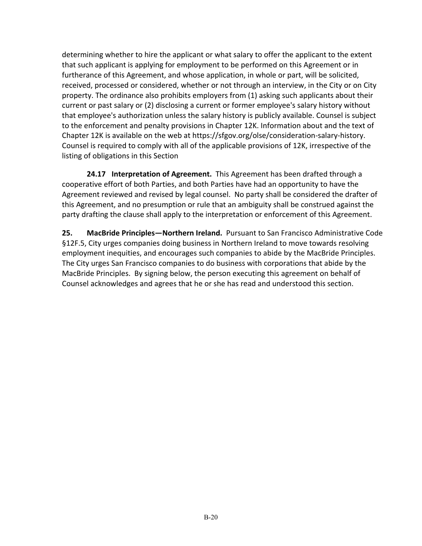determining whether to hire the applicant or what salary to offer the applicant to the extent that such applicant is applying for employment to be performed on this Agreement or in furtherance of this Agreement, and whose application, in whole or part, will be solicited, received, processed or considered, whether or not through an interview, in the City or on City property. The ordinance also prohibits employers from (1) asking such applicants about their current or past salary or (2) disclosing a current or former employee's salary history without that employee's authorization unless the salary history is publicly available. Counsel is subject to the enforcement and penalty provisions in Chapter 12K. Information about and the text of Chapter 12K is available on the web at https://sfgov.org/olse/consideration-salary-history. Counsel is required to comply with all of the applicable provisions of 12K, irrespective of the listing of obligations in this Section

**24.17 Interpretation of Agreement.** This Agreement has been drafted through a cooperative effort of both Parties, and both Parties have had an opportunity to have the Agreement reviewed and revised by legal counsel. No party shall be considered the drafter of this Agreement, and no presumption or rule that an ambiguity shall be construed against the party drafting the clause shall apply to the interpretation or enforcement of this Agreement.

**25. MacBride Principles—Northern Ireland.** Pursuant to San Francisco Administrative Code §12F.5, City urges companies doing business in Northern Ireland to move towards resolving employment inequities, and encourages such companies to abide by the MacBride Principles. The City urges San Francisco companies to do business with corporations that abide by the MacBride Principles. By signing below, the person executing this agreement on behalf of Counsel acknowledges and agrees that he or she has read and understood this section.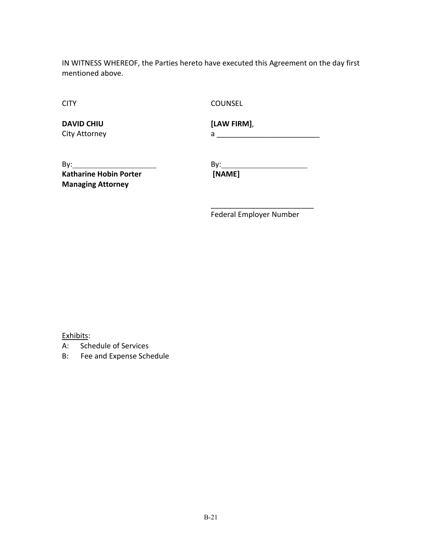IN WITNESS WHEREOF, the Parties hereto have executed this Agreement on the day first mentioned above.

CITY COUNSEL

**DAVID CHIU [LAW FIRM]**,

City Attorney a \_\_\_\_\_\_\_\_\_\_\_\_\_\_\_\_\_\_\_\_\_\_\_\_\_

By: By: **Katharine Hobin Porter [NAME] Managing Attorney**

\_\_\_\_\_\_\_\_\_\_\_\_\_\_\_\_\_\_\_\_\_\_\_\_\_ Federal Employer Number

Exhibits:

- A: Schedule of Services
- B: Fee and Expense Schedule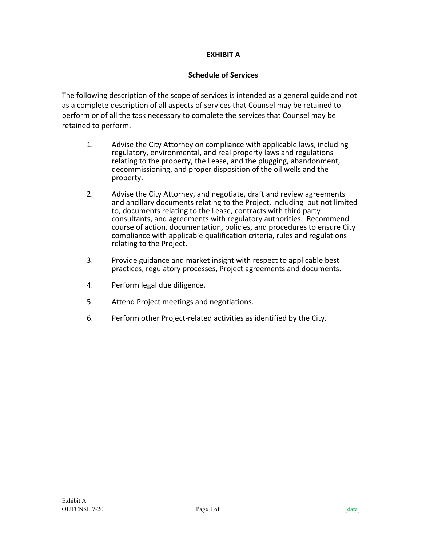# **EXHIBIT A**

## **Schedule of Services**

The following description of the scope of services is intended as a general guide and not as a complete description of all aspects of services that Counsel may be retained to perform or of all the task necessary to complete the services that Counsel may be retained to perform.

- 1. Advise the City Attorney on compliance with applicable laws, including regulatory, environmental, and real property laws and regulations relating to the property, the Lease, and the plugging, abandonment, decommissioning, and proper disposition of the oil wells and the property.
- 2. Advise the City Attorney, and negotiate, draft and review agreements and ancillary documents relating to the Project, including but not limited to, documents relating to the Lease, contracts with third party consultants, and agreements with regulatory authorities. Recommend course of action, documentation, policies, and procedures to ensure City compliance with applicable qualification criteria, rules and regulations relating to the Project.
- 3. Provide guidance and market insight with respect to applicable best practices, regulatory processes, Project agreements and documents.
- 4. Perform legal due diligence.
- 5. Attend Project meetings and negotiations.
- 6. Perform other Project-related activities as identified by the City.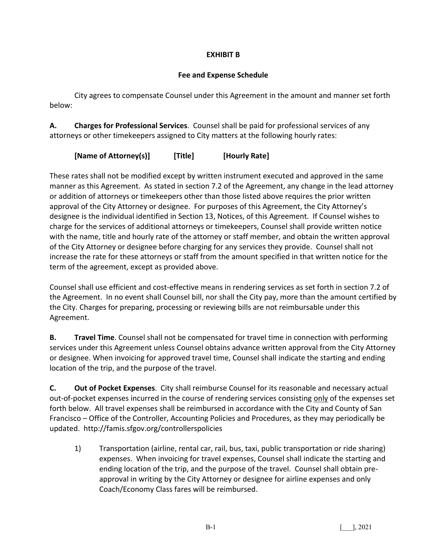# **EXHIBIT B**

# **Fee and Expense Schedule**

City agrees to compensate Counsel under this Agreement in the amount and manner set forth below:

**A. Charges for Professional Services**. Counsel shall be paid for professional services of any attorneys or other timekeepers assigned to City matters at the following hourly rates:

**[Name of Attorney(s)] [Title] [Hourly Rate]**

These rates shall not be modified except by written instrument executed and approved in the same manner as this Agreement. As stated in section 7.2 of the Agreement, any change in the lead attorney or addition of attorneys or timekeepers other than those listed above requires the prior written approval of the City Attorney or designee. For purposes of this Agreement, the City Attorney's designee is the individual identified in Section 13, Notices, of this Agreement. If Counsel wishes to charge for the services of additional attorneys or timekeepers, Counsel shall provide written notice with the name, title and hourly rate of the attorney or staff member, and obtain the written approval of the City Attorney or designee before charging for any services they provide. Counsel shall not increase the rate for these attorneys or staff from the amount specified in that written notice for the term of the agreement, except as provided above.

Counsel shall use efficient and cost-effective means in rendering services as set forth in section 7.2 of the Agreement. In no event shall Counsel bill, nor shall the City pay, more than the amount certified by the City. Charges for preparing, processing or reviewing bills are not reimbursable under this Agreement.

**B. Travel Time**. Counsel shall not be compensated for travel time in connection with performing services under this Agreement unless Counsel obtains advance written approval from the City Attorney or designee. When invoicing for approved travel time, Counsel shall indicate the starting and ending location of the trip, and the purpose of the travel.

**C. Out of Pocket Expenses**. City shall reimburse Counsel for its reasonable and necessary actual out-of-pocket expenses incurred in the course of rendering services consisting only of the expenses set forth below. All travel expenses shall be reimbursed in accordance with the City and County of San Francisco – Office of the Controller, Accounting Policies and Procedures, as they may periodically be updated. http://famis.sfgov.org/controllerspolicies

1) Transportation (airline, rental car, rail, bus, taxi, public transportation or ride sharing) expenses. When invoicing for travel expenses, Counsel shall indicate the starting and ending location of the trip, and the purpose of the travel. Counsel shall obtain preapproval in writing by the City Attorney or designee for airline expenses and only Coach/Economy Class fares will be reimbursed.